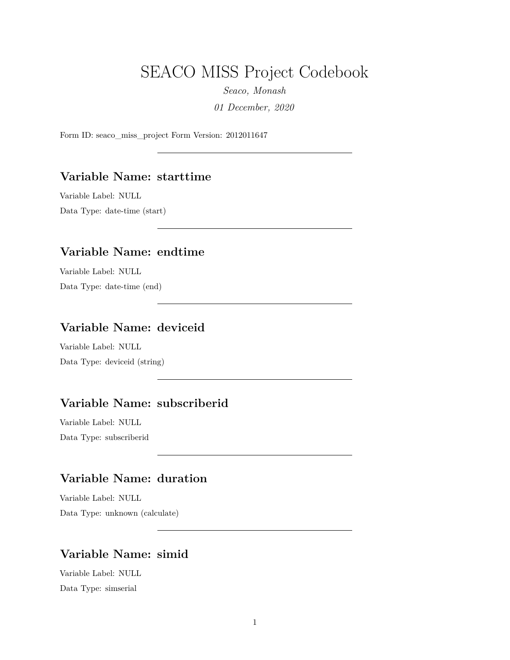# SEACO MISS Project Codebook

*Seaco, Monash 01 December, 2020*

Form ID: seaco\_miss\_project Form Version: 2012011647

### **Variable Name: starttime**

Variable Label: NULL

Data Type: date-time (start)

### **Variable Name: endtime**

Variable Label: NULL Data Type: date-time (end)

## **Variable Name: deviceid**

Variable Label: NULL Data Type: deviceid (string)

### **Variable Name: subscriberid**

Variable Label: NULL Data Type: subscriberid

## **Variable Name: duration**

Variable Label: NULL Data Type: unknown (calculate)

### **Variable Name: simid**

Variable Label: NULL Data Type: simserial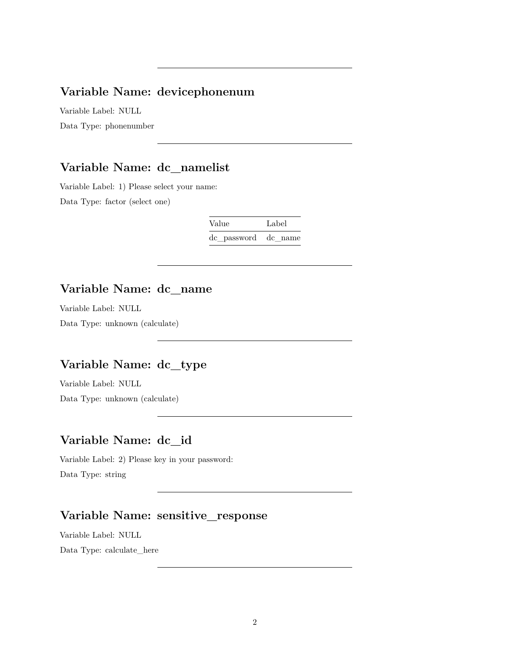## **Variable Name: devicephonenum**

Variable Label: NULL Data Type: phonenumber

## **Variable Name: dc\_namelist**

Variable Label: 1) Please select your name: Data Type: factor (select one)

| Value               | Label |
|---------------------|-------|
| de password de name |       |

## **Variable Name: dc\_name**

Variable Label: NULL

Data Type: unknown (calculate)

## **Variable Name: dc\_type**

Variable Label: NULL Data Type: unknown (calculate)

#### **Variable Name: dc\_id**

Variable Label: 2) Please key in your password: Data Type: string

## **Variable Name: sensitive\_response**

Variable Label: NULL Data Type: calculate\_here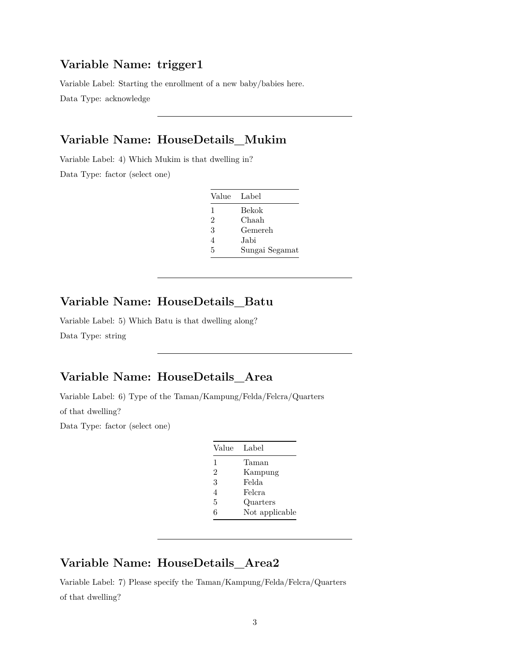### **Variable Name: trigger1**

Variable Label: Starting the enrollment of a new baby/babies here.

Data Type: acknowledge

## **Variable Name: HouseDetails\_Mukim**

Variable Label: 4) Which Mukim is that dwelling in?

Data Type: factor (select one)

| Value Label |                |
|-------------|----------------|
| 1           | Bekok          |
| 2           | Chaah          |
| 3           | Gemereh        |
| 4           | Jabi           |
| 5           | Sungai Segamat |

#### **Variable Name: HouseDetails\_Batu**

Variable Label: 5) Which Batu is that dwelling along? Data Type: string

## **Variable Name: HouseDetails\_Area**

Variable Label: 6) Type of the Taman/Kampung/Felda/Felcra/Quarters of that dwelling?

Data Type: factor (select one)

| Label          |
|----------------|
| Taman          |
| Kampung        |
| Felda          |
| Felcra         |
| Quarters       |
| Not applicable |
|                |

## **Variable Name: HouseDetails\_Area2**

Variable Label: 7) Please specify the Taman/Kampung/Felda/Felcra/Quarters of that dwelling?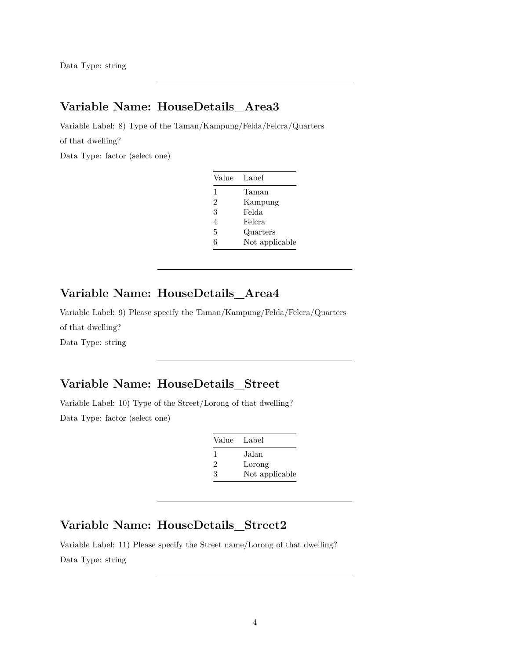## **Variable Name: HouseDetails\_Area3**

Variable Label: 8) Type of the Taman/Kampung/Felda/Felcra/Quarters of that dwelling?

Data Type: factor (select one)

| Value          | Label          |
|----------------|----------------|
| 1              | Taman          |
| $\mathfrak{D}$ | Kampung        |
| 3              | Felda          |
| 4              | Felcra         |
| 5              | Quarters       |
| հ              | Not applicable |

## **Variable Name: HouseDetails\_Area4**

Variable Label: 9) Please specify the Taman/Kampung/Felda/Felcra/Quarters of that dwelling? Data Type: string

## **Variable Name: HouseDetails\_Street**

Variable Label: 10) Type of the Street/Lorong of that dwelling? Data Type: factor (select one)

| Value Label    |                |
|----------------|----------------|
| $\mathbf{I}$   | Jalan          |
| $\mathfrak{D}$ | Lorong         |
| З              | Not applicable |

### **Variable Name: HouseDetails\_Street2**

Variable Label: 11) Please specify the Street name/Lorong of that dwelling? Data Type: string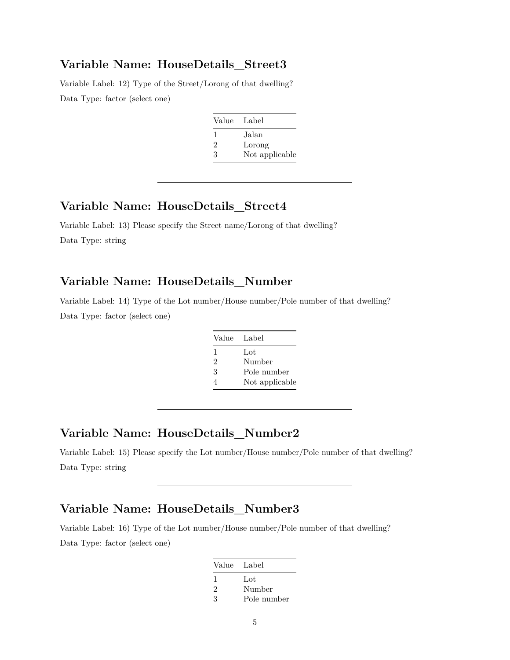#### **Variable Name: HouseDetails\_Street3**

Variable Label: 12) Type of the Street/Lorong of that dwelling? Data Type: factor (select one)

| Value Label    |
|----------------|
| Jalan          |
| Lorong         |
| Not applicable |
|                |

### **Variable Name: HouseDetails\_Street4**

Variable Label: 13) Please specify the Street name/Lorong of that dwelling? Data Type: string

## **Variable Name: HouseDetails\_Number**

Variable Label: 14) Type of the Lot number/House number/Pole number of that dwelling? Data Type: factor (select one)

| Value Label    |                |
|----------------|----------------|
| 1              | Lot            |
| $\mathfrak{D}$ | Number         |
| 3              | Pole number    |
|                | Not applicable |

## **Variable Name: HouseDetails\_Number2**

Variable Label: 15) Please specify the Lot number/House number/Pole number of that dwelling? Data Type: string

#### **Variable Name: HouseDetails\_Number3**

Variable Label: 16) Type of the Lot number/House number/Pole number of that dwelling? Data Type: factor (select one)

| Value Label |             |
|-------------|-------------|
| 1           | Lot         |
| 2           | Number      |
| 3           | Pole number |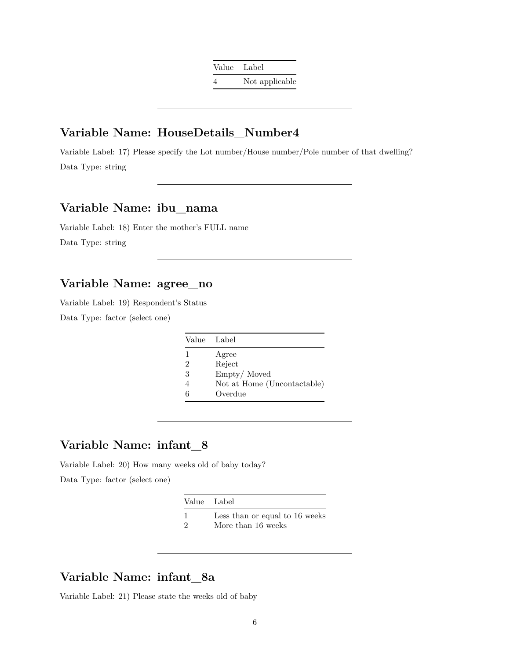Value Label 4 Not applicable

### **Variable Name: HouseDetails\_Number4**

Variable Label: 17) Please specify the Lot number/House number/Pole number of that dwelling? Data Type: string

## **Variable Name: ibu\_nama**

Variable Label: 18) Enter the mother's FULL name Data Type: string

### **Variable Name: agree\_no**

Variable Label: 19) Respondent's Status Data Type: factor (select one)

| Value Label                 |
|-----------------------------|
| Agree                       |
| Reject                      |
| Empty/Moved                 |
| Not at Home (Uncontactable) |
| Overdue                     |
|                             |

## **Variable Name: infant\_8**

Variable Label: 20) How many weeks old of baby today?

Data Type: factor (select one)

|          | Value Label                    |
|----------|--------------------------------|
|          | Less than or equal to 16 weeks |
| $\Omega$ | More than 16 weeks             |

## **Variable Name: infant\_8a**

Variable Label: 21) Please state the weeks old of baby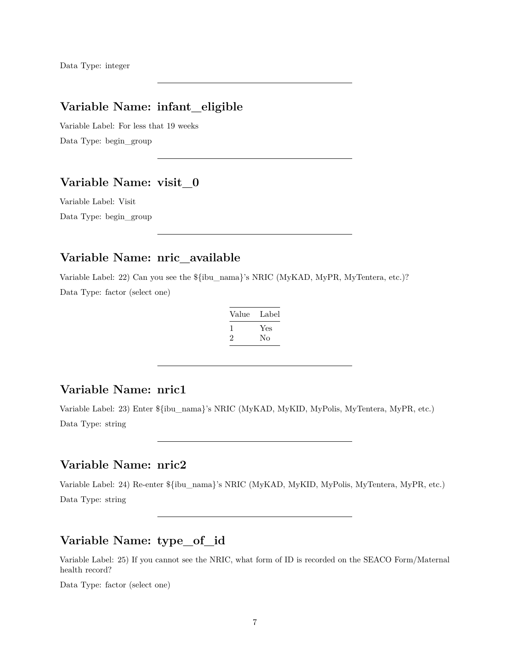## **Variable Name: infant\_eligible**

Variable Label: For less that 19 weeks Data Type: begin\_group

## **Variable Name: visit\_0**

Variable Label: Visit Data Type: begin\_group

## **Variable Name: nric\_available**

Variable Label: 22) Can you see the \${ibu\_nama}'s NRIC (MyKAD, MyPR, MyTentera, etc.)? Data Type: factor (select one)

| Label |
|-------|
| Yes   |
| Nο    |
|       |

#### **Variable Name: nric1**

Variable Label: 23) Enter \${ibu\_nama}'s NRIC (MyKAD, MyKID, MyPolis, MyTentera, MyPR, etc.) Data Type: string

### **Variable Name: nric2**

Variable Label: 24) Re-enter \${ibu\_nama}'s NRIC (MyKAD, MyKID, MyPolis, MyTentera, MyPR, etc.) Data Type: string

# **Variable Name: type\_of\_id**

Variable Label: 25) If you cannot see the NRIC, what form of ID is recorded on the SEACO Form/Maternal health record?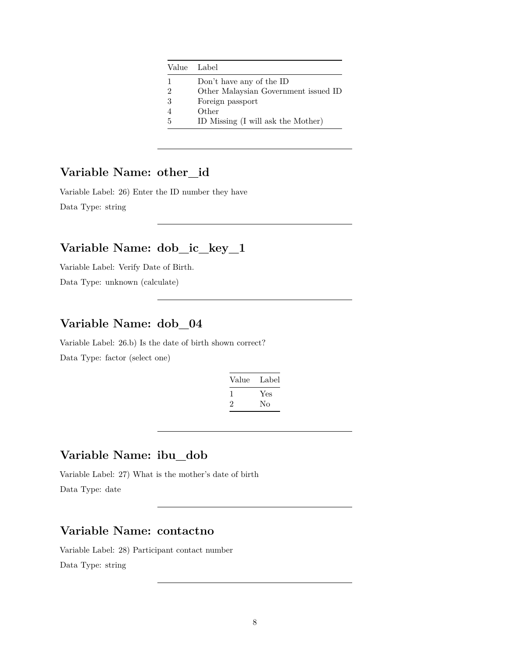|               | Value Label                          |
|---------------|--------------------------------------|
| 1             | Don't have any of the ID             |
| $\mathcal{D}$ | Other Malaysian Government issued ID |
| 3             | Foreign passport                     |
|               | Other                                |
| .5            | ID Missing (I will ask the Mother)   |

## **Variable Name: other\_id**

Variable Label: 26) Enter the ID number they have Data Type: string

### **Variable Name: dob\_ic\_key\_1**

Variable Label: Verify Date of Birth.

Data Type: unknown (calculate)

### **Variable Name: dob\_04**

Variable Label: 26.b) Is the date of birth shown correct? Data Type: factor (select one)

| Value   | Label |
|---------|-------|
|         | Yes   |
| $\cdot$ | Nο    |

## **Variable Name: ibu\_dob**

Variable Label: 27) What is the mother's date of birth Data Type: date

## **Variable Name: contactno**

Variable Label: 28) Participant contact number Data Type: string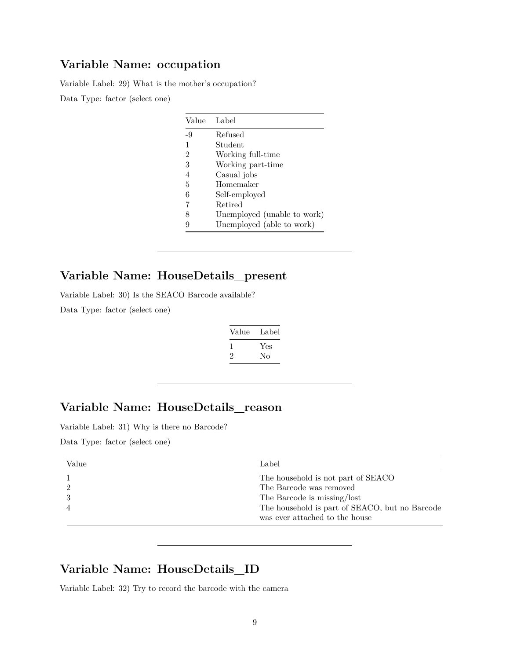# **Variable Name: occupation**

Variable Label: 29) What is the mother's occupation? Data Type: factor (select one)

> Value Label -9 Refused 1 Student 2 Working full-time 3 Working part-time 4 Casual jobs 5 Homemaker 6 Self-employed 7 Retired 8 Unemployed (unable to work) 9 Unemployed (able to work)

# **Variable Name: HouseDetails\_present**

Variable Label: 30) Is the SEACO Barcode available?

Data Type: factor (select one)

| Value | Label     |  |
|-------|-----------|--|
| '2    | Yes<br>Nο |  |

# **Variable Name: HouseDetails\_reason**

Variable Label: 31) Why is there no Barcode?

Data Type: factor (select one)

| Value | Label                                          |
|-------|------------------------------------------------|
|       | The household is not part of SEACO             |
|       | The Barcode was removed                        |
|       | The Barcode is missing/lost                    |
|       | The household is part of SEACO, but no Barcode |
|       | was ever attached to the house                 |

## **Variable Name: HouseDetails\_ID**

Variable Label: 32) Try to record the barcode with the camera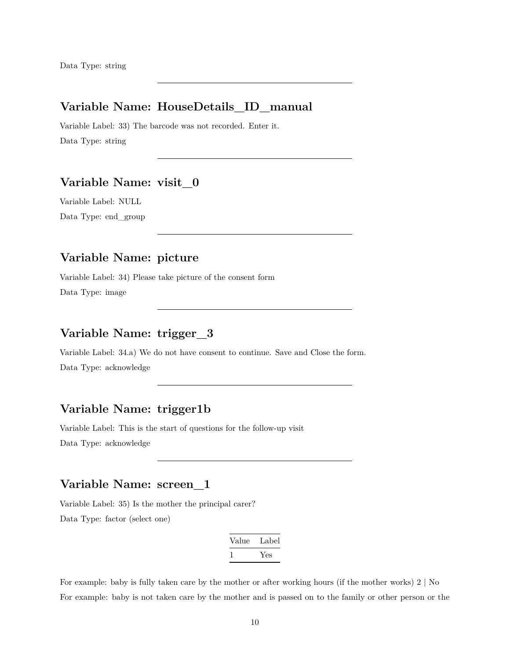## **Variable Name: HouseDetails\_ID\_manual**

Variable Label: 33) The barcode was not recorded. Enter it. Data Type: string

### **Variable Name: visit\_0**

Variable Label: NULL Data Type: end\_group

## **Variable Name: picture**

Variable Label: 34) Please take picture of the consent form Data Type: image

## **Variable Name: trigger\_3**

Variable Label: 34.a) We do not have consent to continue. Save and Close the form. Data Type: acknowledge

### **Variable Name: trigger1b**

Variable Label: This is the start of questions for the follow-up visit Data Type: acknowledge

#### **Variable Name: screen\_1**

Variable Label: 35) Is the mother the principal carer? Data Type: factor (select one)

| Value | Label |
|-------|-------|
|       | Yes   |

For example: baby is fully taken care by the mother or after working hours (if the mother works) 2 | No For example: baby is not taken care by the mother and is passed on to the family or other person or the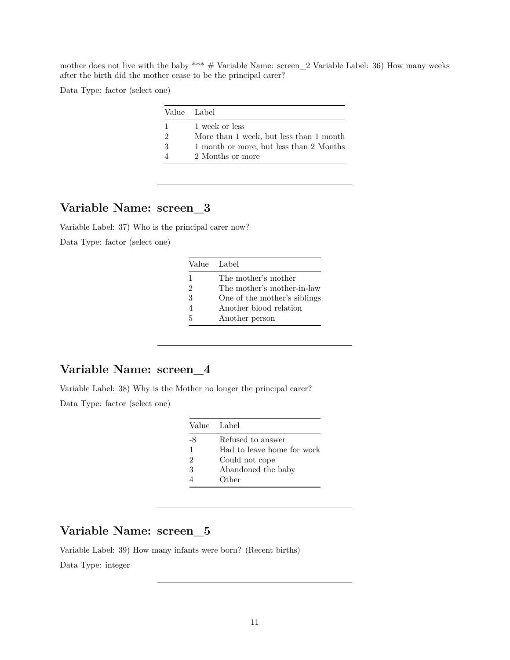mother does not live with the baby \*\*\*  $\#$  Variable Name: screen\_2 Variable Label: 36) How many weeks after the birth did the mother cease to be the principal carer?

Data Type: factor (select one)

|               | Value Label                             |
|---------------|-----------------------------------------|
| 1             | 1 week or less                          |
| $\mathcal{D}$ | More than 1 week, but less than 1 month |
| 3             | 1 month or more, but less than 2 Months |
|               | 2 Months or more                        |
|               |                                         |

## **Variable Name: screen\_3**

Variable Label: 37) Who is the principal carer now? Data Type: factor (select one)

|   | Value Label                  |
|---|------------------------------|
| 1 | The mother's mother          |
| 2 | The mother's mother-in-law   |
| 3 | One of the mother's siblings |
| 4 | Another blood relation       |
| 5 | Another person               |

## **Variable Name: screen\_4**

Variable Label: 38) Why is the Mother no longer the principal carer? Data Type: factor (select one)

|    | Value Label                |
|----|----------------------------|
| -8 | Refused to answer          |
| 1  | Had to leave home for work |
| 2  | Could not cope             |
| 3  | Abandoned the baby         |
|    | Other                      |

## **Variable Name: screen\_5**

Variable Label: 39) How many infants were born? (Recent births) Data Type: integer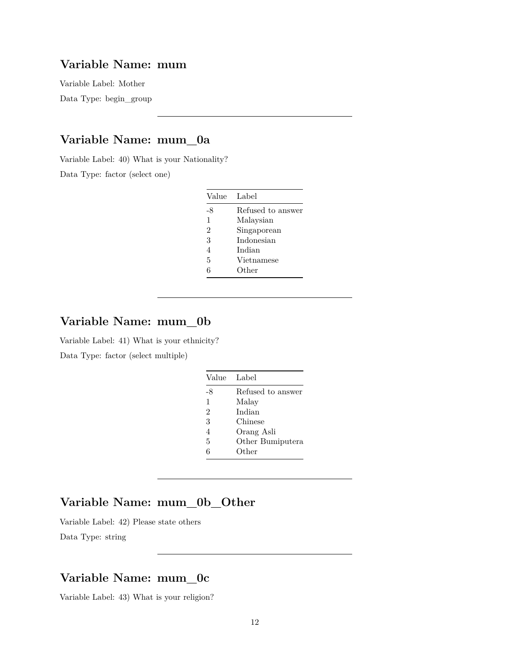## **Variable Name: mum**

Variable Label: Mother Data Type: begin\_group

## **Variable Name: mum\_0a**

Variable Label: 40) What is your Nationality?

Data Type: factor (select one)

| Label             |
|-------------------|
| Refused to answer |
| Malaysian         |
| Singaporean       |
| Indonesian        |
| Indian            |
| Vietnamese        |
| Other             |
|                   |

### **Variable Name: mum\_0b**

Variable Label: 41) What is your ethnicity? Data Type: factor (select multiple)

| Value        | Label             |
|--------------|-------------------|
| -8           | Refused to answer |
| $\mathbf{1}$ | Malay             |
| 2            | Indian            |
| 3            | Chinese           |
| 4            | Orang Asli        |
| 5            | Other Bumiputera  |
| 6            | Other             |

### **Variable Name: mum\_0b\_Other**

Variable Label: 42) Please state others

Data Type: string

## **Variable Name: mum\_0c**

Variable Label: 43) What is your religion?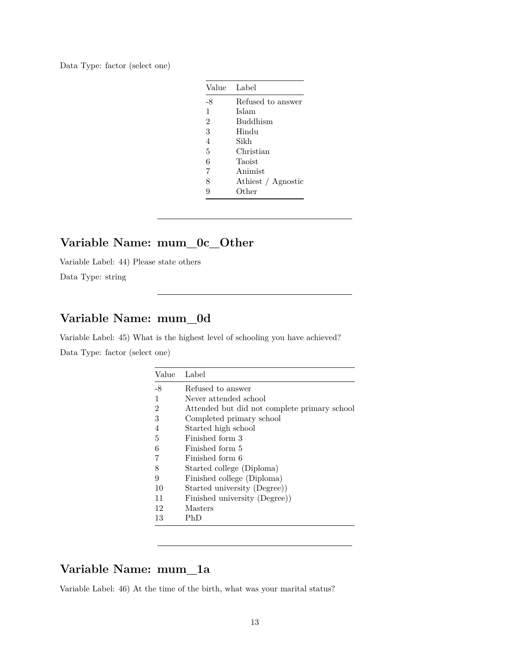Data Type: factor (select one)

| Value          | Label              |
|----------------|--------------------|
| -8             | Refused to answer  |
| 1              | Islam              |
| $\overline{2}$ | <b>Buddhism</b>    |
| 3              | Hindu              |
| $\overline{4}$ | Sikh               |
| 5              | Christian          |
| 6              | Taoist             |
| 7              | Animist            |
| 8              | Athiest / Agnostic |
| 9              | Other              |

# **Variable Name: mum\_0c\_Other**

Variable Label: 44) Please state others

Data Type: string

## **Variable Name: mum\_0d**

Variable Label: 45) What is the highest level of schooling you have achieved? Data Type: factor (select one)

| Value          | Label                                        |
|----------------|----------------------------------------------|
| -8             | Refused to answer                            |
| 1              | Never attended school                        |
| $\overline{2}$ | Attended but did not complete primary school |
| 3              | Completed primary school                     |
| 4              | Started high school                          |
| 5              | Finished form 3                              |
| 6              | Finished form 5                              |
|                | Finished form 6                              |
| 8              | Started college (Diploma)                    |
| 9              | Finished college (Diploma)                   |
| 10             | Started university (Degree))                 |
| 11             | Finished university (Degree))                |
| 12             | Masters                                      |
| 13             | PhD                                          |
|                |                                              |

## **Variable Name: mum\_1a**

Variable Label: 46) At the time of the birth, what was your marital status?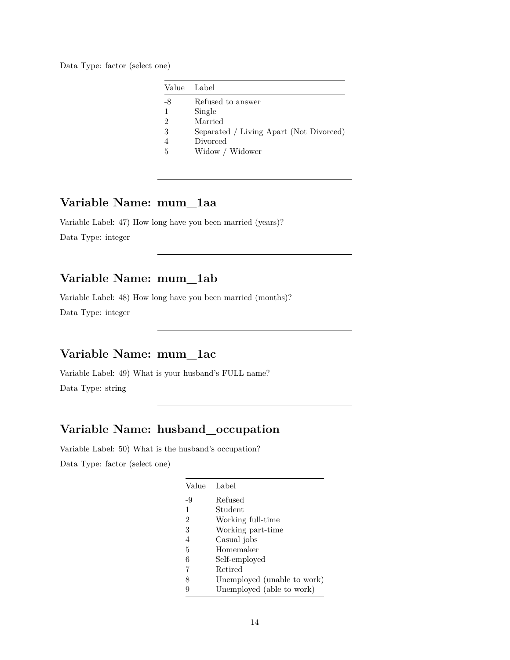Data Type: factor (select one)

| Value | - Label                                 |
|-------|-----------------------------------------|
| -8    | Refused to answer                       |
| 1     | Single                                  |
| 2     | Married                                 |
| 3     | Separated / Living Apart (Not Divorced) |
|       | Divorced                                |
| 5     | Widow / Widower                         |

## **Variable Name: mum\_1aa**

Variable Label: 47) How long have you been married (years)? Data Type: integer

## **Variable Name: mum\_1ab**

Variable Label: 48) How long have you been married (months)? Data Type: integer

## **Variable Name: mum\_1ac**

Variable Label: 49) What is your husband's FULL name? Data Type: string

### **Variable Name: husband\_occupation**

Variable Label: 50) What is the husband's occupation? Data Type: factor (select one)

| Value          | Label                       |
|----------------|-----------------------------|
| -9             | Refused                     |
| 1              | Student                     |
| $\overline{2}$ | Working full-time           |
| 3              | Working part-time           |
| 4              | Casual jobs                 |
| 5              | Homemaker                   |
| 6              | Self-employed               |
| 7              | Retired                     |
| 8              | Unemployed (unable to work) |
|                | Unemployed (able to work)   |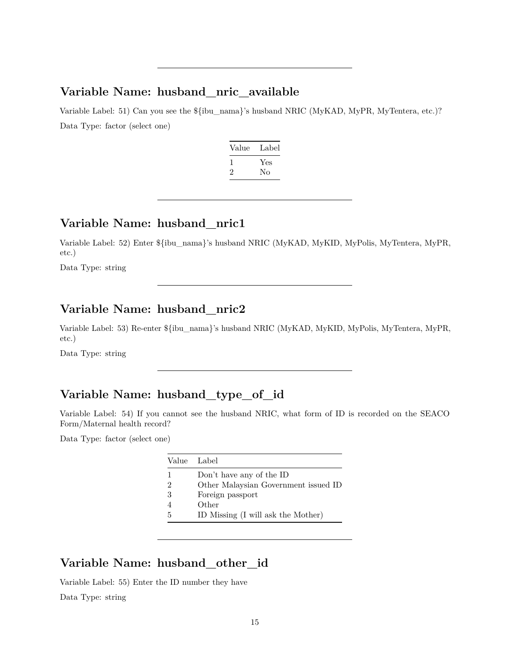#### **Variable Name: husband\_nric\_available**

Variable Label: 51) Can you see the  $\{\text{flu} \quad \text{nama}\}'$ s husband NRIC (MyKAD, MyPR, MyTentera, etc.)? Data Type: factor (select one)

| Value | Label |
|-------|-------|
| 1     | Yes   |
| 2     | Nο    |

## **Variable Name: husband\_nric1**

Variable Label: 52) Enter \${ibu\_nama}'s husband NRIC (MyKAD, MyKID, MyPolis, MyTentera, MyPR, etc.)

Data Type: string

## **Variable Name: husband\_nric2**

Variable Label: 53) Re-enter \${ibu\_nama}'s husband NRIC (MyKAD, MyKID, MyPolis, MyTentera, MyPR, etc.)

Data Type: string

# **Variable Name: husband\_type\_of\_id**

Variable Label: 54) If you cannot see the husband NRIC, what form of ID is recorded on the SEACO Form/Maternal health record?

Data Type: factor (select one)

|   | Value Label                          |
|---|--------------------------------------|
| 1 | Don't have any of the ID             |
| 2 | Other Malaysian Government issued ID |
| 3 | Foreign passport                     |
|   | Other                                |
| 5 | ID Missing (I will ask the Mother)   |

### **Variable Name: husband\_other\_id**

Variable Label: 55) Enter the ID number they have

Data Type: string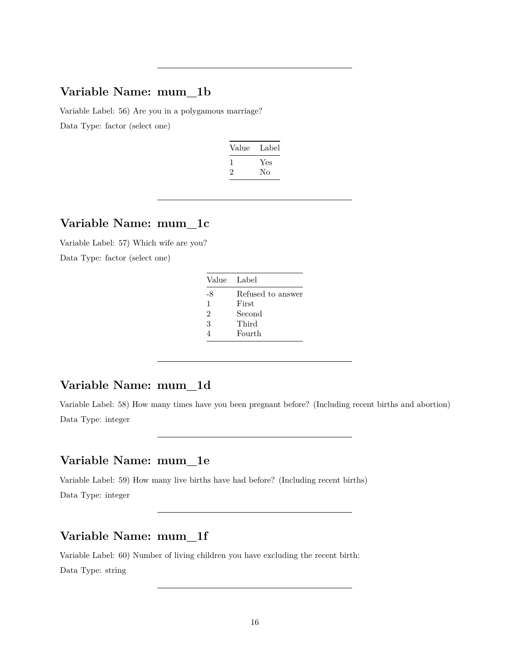## **Variable Name: mum\_1b**

Variable Label: 56) Are you in a polygamous marriage? Data Type: factor (select one)

| Value | Label |
|-------|-------|
|       | Yes   |
| '2    | Nο    |
|       |       |

# **Variable Name: mum\_1c**

Variable Label: 57) Which wife are you? Data Type: factor (select one)

| Value Label    |                   |
|----------------|-------------------|
| -8             | Refused to answer |
| 1              | First             |
| $\overline{2}$ | Second            |
| 3              | Third             |
|                | Fourth            |

## **Variable Name: mum\_1d**

Variable Label: 58) How many times have you been pregnant before? (Including recent births and abortion) Data Type: integer

### **Variable Name: mum\_1e**

Variable Label: 59) How many live births have had before? (Including recent births) Data Type: integer

## **Variable Name: mum\_1f**

Variable Label: 60) Number of living children you have excluding the recent birth: Data Type: string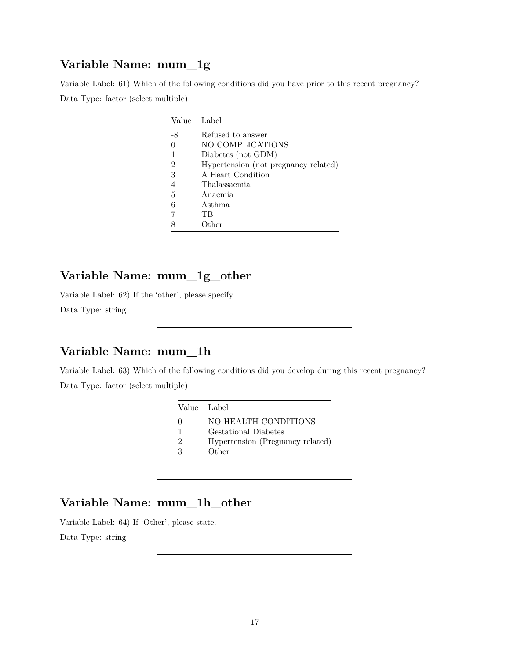## **Variable Name: mum\_1g**

Variable Label: 61) Which of the following conditions did you have prior to this recent pregnancy? Data Type: factor (select multiple)

| Value Label |                                      |
|-------------|--------------------------------------|
| -8          | Refused to answer                    |
|             | NO COMPLICATIONS                     |
| 1           | Diabetes (not GDM)                   |
| 2           | Hypertension (not pregnancy related) |
| 3           | A Heart Condition                    |
| 4           | Thalassaemia                         |
| 5           | Anaemia                              |
| 6           | Asthma                               |
|             | TВ                                   |
|             | Other                                |

### **Variable Name: mum\_1g\_other**

Variable Label: 62) If the 'other', please specify.

Data Type: string

## **Variable Name: mum\_1h**

Variable Label: 63) Which of the following conditions did you develop during this recent pregnancy? Data Type: factor (select multiple)

| Value Label       |                                  |
|-------------------|----------------------------------|
| $\mathbf{\Omega}$ | NO HEALTH CONDITIONS             |
|                   | <b>Gestational Diabetes</b>      |
| $\mathfrak{D}$    | Hypertension (Pregnancy related) |
| २                 | Other                            |

### **Variable Name: mum\_1h\_other**

Variable Label: 64) If 'Other', please state.

Data Type: string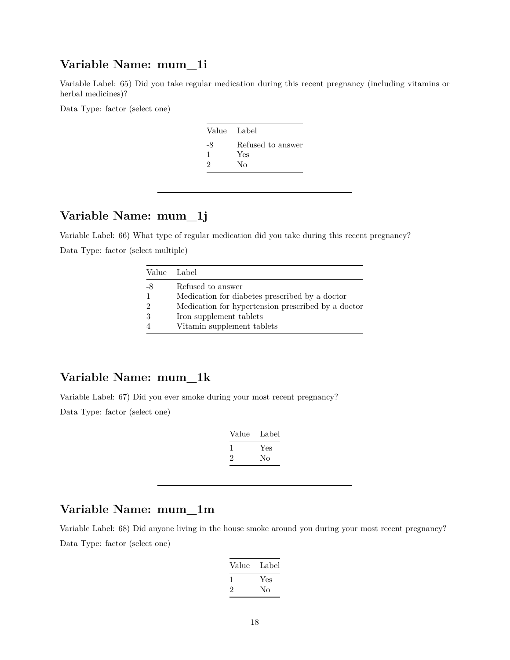## **Variable Name: mum\_1i**

Variable Label: 65) Did you take regular medication during this recent pregnancy (including vitamins or herbal medicines)?

Data Type: factor (select one)

| Value Label |                   |
|-------------|-------------------|
| -8          | Refused to answer |
| 1           | Yes               |
| 2           | Nο                |

## **Variable Name: mum\_1j**

Variable Label: 66) What type of regular medication did you take during this recent pregnancy? Data Type: factor (select multiple)

|               | Value Label                                        |
|---------------|----------------------------------------------------|
| -8            | Refused to answer                                  |
| -1            | Medication for diabetes prescribed by a doctor     |
| $\mathcal{D}$ | Medication for hypertension prescribed by a doctor |
| 3             | Iron supplement tablets                            |
|               | Vitamin supplement tablets                         |
|               |                                                    |

## **Variable Name: mum\_1k**

Variable Label: 67) Did you ever smoke during your most recent pregnancy?

Data Type: factor (select one)

| Value | Label |
|-------|-------|
|       | Yes   |
| ۰,    | Nο    |

### **Variable Name: mum\_1m**

Variable Label: 68) Did anyone living in the house smoke around you during your most recent pregnancy? Data Type: factor (select one)

| Value | Label |
|-------|-------|
|       | Yes   |
| '2    | Nο    |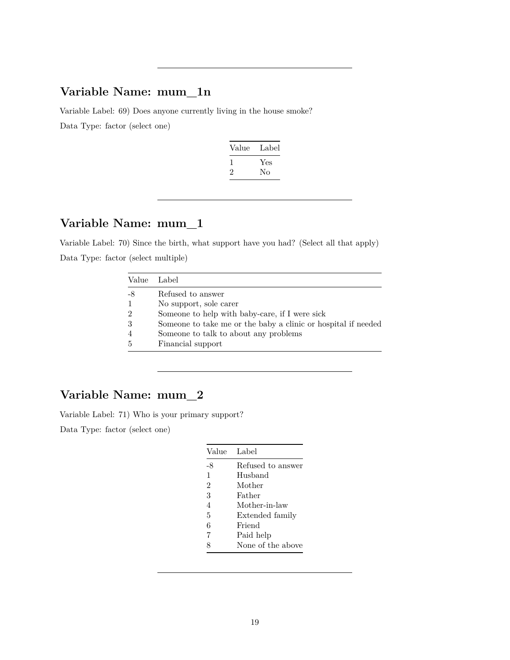## **Variable Name: mum\_1n**

Variable Label: 69) Does anyone currently living in the house smoke? Data Type: factor (select one)

| Value        | Label |
|--------------|-------|
| $\mathbf{I}$ | Yes   |
| $\cdot$      | Nο    |
|              |       |

# **Variable Name: mum\_1**

Variable Label: 70) Since the birth, what support have you had? (Select all that apply) Data Type: factor (select multiple)

| Value Label    |                                                               |
|----------------|---------------------------------------------------------------|
| -8             | Refused to answer                                             |
| $\mathbf{1}$   | No support, sole carer                                        |
| $\overline{2}$ | Someone to help with baby-care, if I were sick                |
| 3              | Someone to take me or the baby a clinic or hospital if needed |
| $\overline{4}$ | Someone to talk to about any problems                         |
| 5              | Financial support                                             |

## **Variable Name: mum\_2**

Variable Label: 71) Who is your primary support?

| Value          | Label             |
|----------------|-------------------|
| -8             | Refused to answer |
| 1              | Husband           |
| $\overline{2}$ | Mother            |
| 3              | Father            |
| 4              | Mother-in-law     |
| 5              | Extended family   |
| 6              | Friend            |
| 7              | Paid help         |
| 8              | None of the above |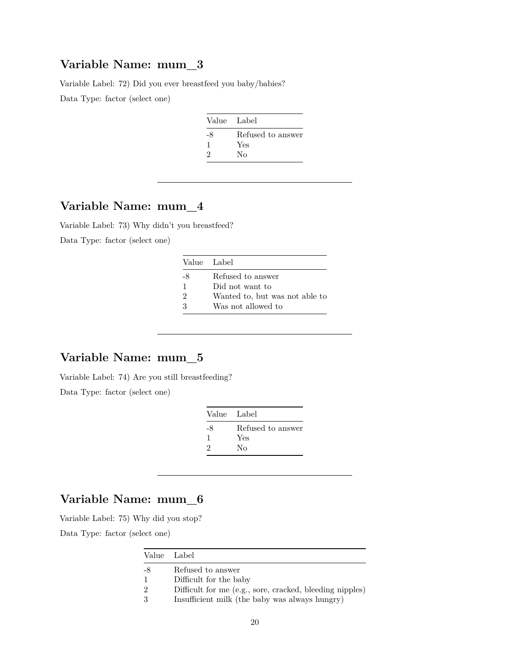## **Variable Name: mum\_3**

Variable Label: 72) Did you ever breastfeed you baby/babies?

Data Type: factor (select one)

| Value Label |                   |
|-------------|-------------------|
| -8          | Refused to answer |
| ı           | Yes               |
| 9           | Nο                |

## **Variable Name: mum\_4**

Variable Label: 73) Why didn't you breastfeed? Data Type: factor (select one)

|    | Value Label                    |
|----|--------------------------------|
| -8 | Refused to answer              |
|    | Did not want to                |
| 2  | Wanted to, but was not able to |
| ર  | Was not allowed to             |

## **Variable Name: mum\_5**

Variable Label: 74) Are you still breastfeeding?

Data Type: factor (select one)

| Value Label |                   |
|-------------|-------------------|
| -8          | Refused to answer |
| 1           | Yes               |
| 2           | No                |

### **Variable Name: mum\_6**

Variable Label: 75) Why did you stop?

|               | Value Label                                              |
|---------------|----------------------------------------------------------|
| -8            | Refused to answer                                        |
|               | Difficult for the baby                                   |
| $\mathcal{D}$ | Difficult for me (e.g., sore, cracked, bleeding nipples) |
| 3             | Insufficient milk (the baby was always hungry)           |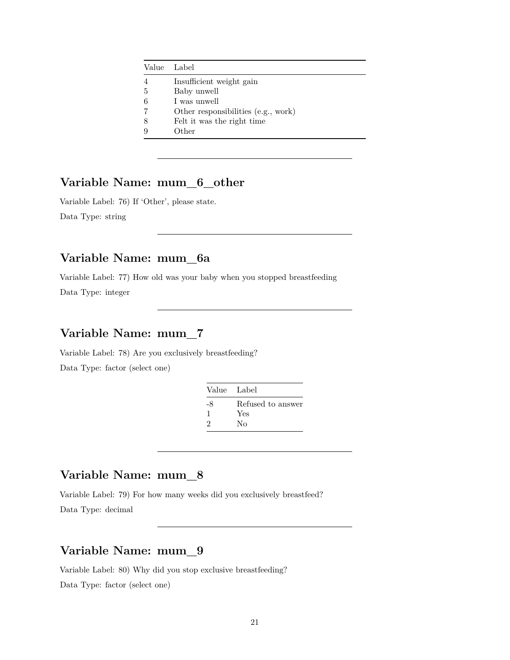|   | Value Label                         |
|---|-------------------------------------|
| 4 | Insufficient weight gain            |
| 5 | Baby unwell                         |
| 6 | I was unwell                        |
|   | Other responsibilities (e.g., work) |
| 8 | Felt it was the right time          |
| 9 | Other                               |

## **Variable Name: mum\_6\_other**

Variable Label: 76) If 'Other', please state. Data Type: string

## **Variable Name: mum\_6a**

Variable Label: 77) How old was your baby when you stopped breastfeeding Data Type: integer

## **Variable Name: mum\_7**

Variable Label: 78) Are you exclusively breastfeeding? Data Type: factor (select one)

| Value Label |                   |
|-------------|-------------------|
| -8          | Refused to answer |
|             | Yes               |
| 2           | Nο                |

### **Variable Name: mum\_8**

Variable Label: 79) For how many weeks did you exclusively breastfeed?

Data Type: decimal

# **Variable Name: mum\_9**

Variable Label: 80) Why did you stop exclusive breastfeeding?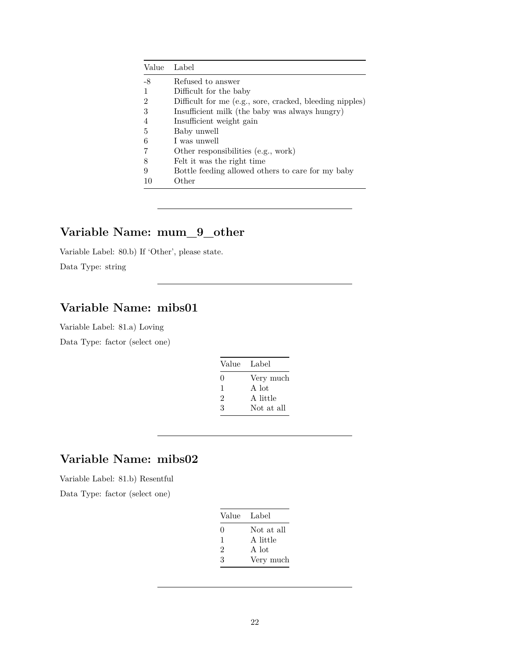| Value          | Label                                                    |
|----------------|----------------------------------------------------------|
| -8             | Refused to answer                                        |
| -1             | Difficult for the baby                                   |
| $\overline{2}$ | Difficult for me (e.g., sore, cracked, bleeding nipples) |
| 3              | Insufficient milk (the baby was always hungry)           |
| $\overline{4}$ | Insufficient weight gain                                 |
| 5              | Baby unwell                                              |
| 6              | I was unwell                                             |
| 7              | Other responsibilities (e.g., work)                      |
| 8              | Felt it was the right time                               |
| 9              | Bottle feeding allowed others to care for my baby        |
| 10             | Other                                                    |

## **Variable Name: mum\_9\_other**

Variable Label: 80.b) If 'Other', please state.

Data Type: string

# **Variable Name: mibs01**

Variable Label: 81.a) Loving Data Type: factor (select one)

| Value        | Label      |
|--------------|------------|
| $\mathbf{0}$ | Very much  |
| 1            | A lot      |
| 2            | A little   |
| 3            | Not at all |

## **Variable Name: mibs02**

Variable Label: 81.b) Resentful Data Type: factor (select one)

| Value Label |            |
|-------------|------------|
| 0           | Not at all |
| 1           | A little   |
| 2           | A lot      |
| 3           | Very much  |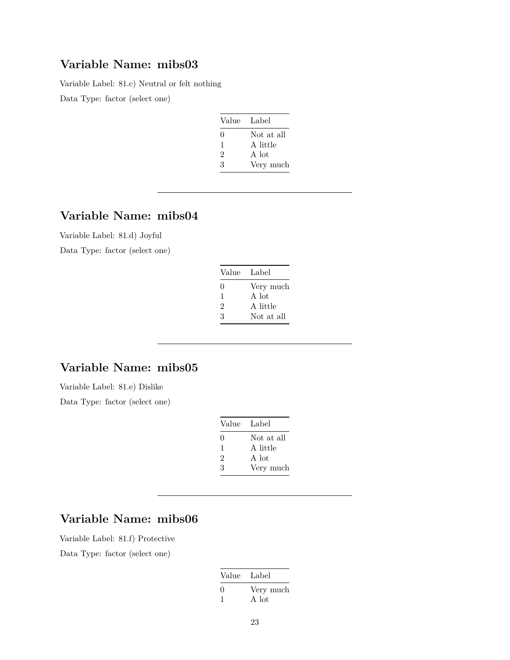## **Variable Name: mibs03**

Variable Label: 81.c) Neutral or felt nothing

Data Type: factor (select one)

| Value Label |            |
|-------------|------------|
| ∩           | Not at all |
| 1           | A little   |
| 2           | A lot      |
| 3           | Very much  |

## **Variable Name: mibs04**

Variable Label: 81.d) Joyful

Data Type: factor (select one)

| Value Label      |            |
|------------------|------------|
| $\left( \right)$ | Very much  |
| $\mathbf{1}$     | A lot      |
| 2                | A little   |
| ર                | Not at all |

## **Variable Name: mibs05**

Variable Label: 81.e) Dislike Data Type: factor (select one)

| Value Label  |            |
|--------------|------------|
| $\mathbf{0}$ | Not at all |
| 1            | A little   |
| 2            | A lot      |
| 3            | Very much  |

# **Variable Name: mibs06**

Variable Label: 81.f) Protective

| Value Label        |
|--------------------|
| Very much<br>A lot |
|                    |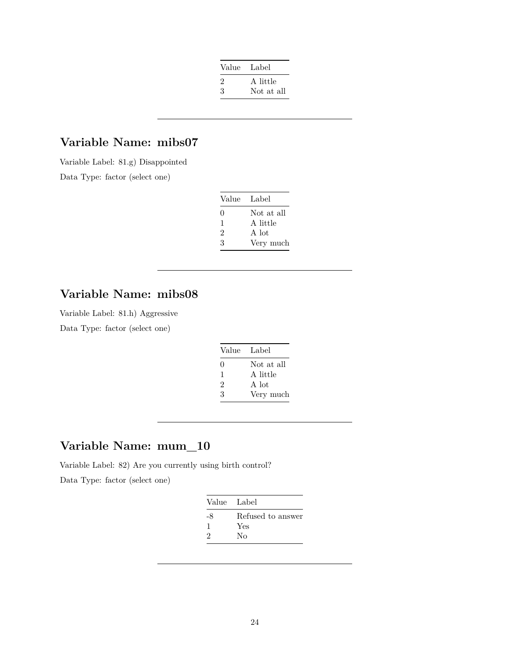| Value | Label      |
|-------|------------|
| '2    | A little   |
| 3     | Not at all |

## **Variable Name: mibs07**

Variable Label: 81.g) Disappointed Data Type: factor (select one)

| Value Label |            |
|-------------|------------|
| $\Omega$    | Not at all |
| 1           | A little   |
| 2           | A lot      |
| ર           | Very much  |

# **Variable Name: mibs08**

Variable Label: 81.h) Aggressive

Data Type: factor (select one)

| Value Label |            |
|-------------|------------|
| $\Omega$    | Not at all |
| 1           | A little   |
| 2           | A lot      |
| 3           | Very much  |

# **Variable Name: mum\_10**

Variable Label: 82) Are you currently using birth control?

| Value Label |                   |
|-------------|-------------------|
| -8          | Refused to answer |
| J.          | Yes               |
| 9           | Nο                |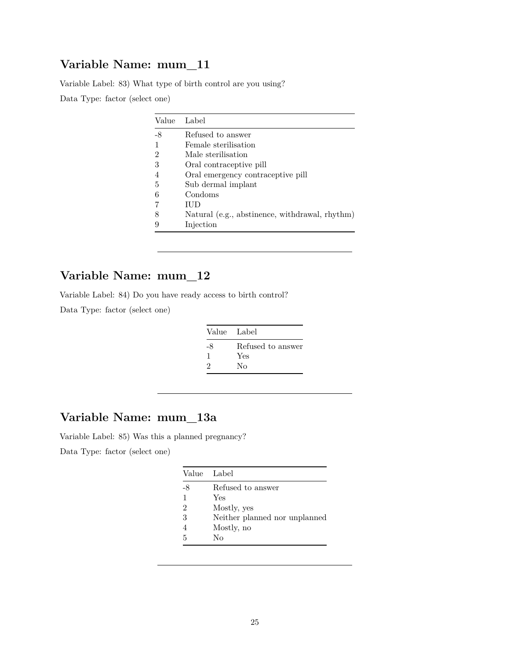## **Variable Name: mum\_11**

Variable Label: 83) What type of birth control are you using? Data Type: factor (select one)

| Value | Label                                          |
|-------|------------------------------------------------|
| -8    | Refused to answer                              |
|       | Female sterilisation                           |
| 2     | Male sterilisation                             |
| 3     | Oral contraceptive pill                        |
|       | Oral emergency contraceptive pill              |
| 5     | Sub dermal implant                             |
| 6     | Condoms                                        |
|       | IUD                                            |
| 8     | Natural (e.g., abstinence, withdrawal, rhythm) |
| 9     | Injection                                      |

## **Variable Name: mum\_12**

Variable Label: 84) Do you have ready access to birth control?

Data Type: factor (select one)

| Value Label |                   |
|-------------|-------------------|
| -8          | Refused to answer |
| J.          | Yes               |
| 2           | Nο                |

## **Variable Name: mum\_13a**

Variable Label: 85) Was this a planned pregnancy? Data Type: factor (select one)

| Value | - Label                       |
|-------|-------------------------------|
| -8    | Refused to answer             |
| 1     | Yes                           |
| 2     | Mostly, yes                   |
| 3     | Neither planned nor unplanned |
| 4     | Mostly, no                    |
| 5     | Nο                            |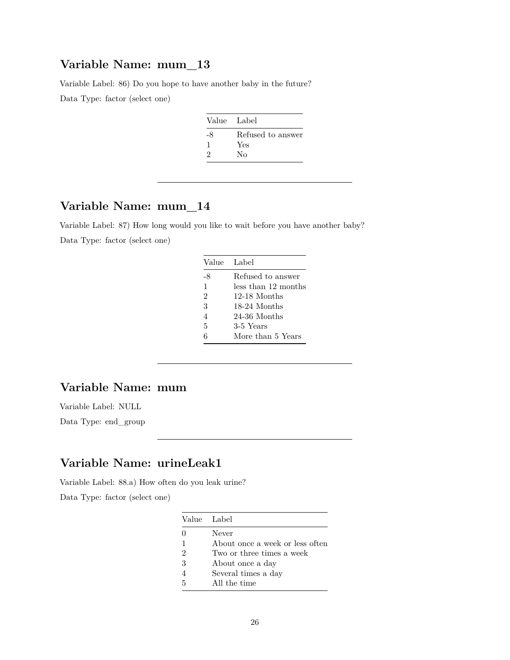## **Variable Name: mum\_13**

Variable Label: 86) Do you hope to have another baby in the future?

Data Type: factor (select one)

| Value Label |                   |
|-------------|-------------------|
| -8          | Refused to answer |
|             | Yes               |
| 9           | Nο                |

# **Variable Name: mum\_14**

Variable Label: 87) How long would you like to wait before you have another baby? Data Type: factor (select one)

|                | Value Label         |
|----------------|---------------------|
| -8             | Refused to answer   |
| $\mathbf{1}$   | less than 12 months |
| $\mathfrak{D}$ | 12-18 Months        |
| 3              | 18-24 Months        |
| $\overline{4}$ | 24-36 Months        |
| 5              | 3-5 Years           |
|                | More than 5 Years   |

## **Variable Name: mum**

Variable Label: NULL

Data Type: end\_group

## **Variable Name: urineLeak1**

Variable Label: 88.a) How often do you leak urine?

| Value Label    |                                 |
|----------------|---------------------------------|
| $\mathbf{0}$   | Never                           |
| 1              | About once a week or less often |
| $\mathfrak{D}$ | Two or three times a week       |
| 3              | About once a day                |
|                | Several times a day             |
| 5              | All the time                    |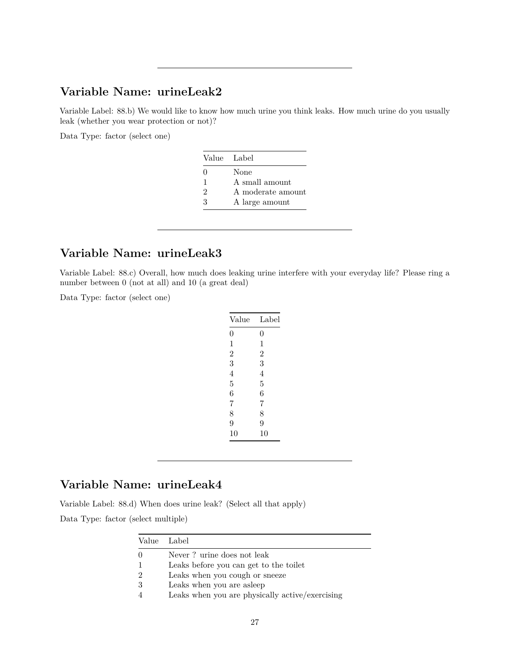## **Variable Name: urineLeak2**

Variable Label: 88.b) We would like to know how much urine you think leaks. How much urine do you usually leak (whether you wear protection or not)?

Data Type: factor (select one)

| Value Label    |                   |
|----------------|-------------------|
| $\mathbf{0}$   | None              |
| 1              | A small amount    |
| $\mathfrak{D}$ | A moderate amount |
| ર              | A large amount    |

## **Variable Name: urineLeak3**

Variable Label: 88.c) Overall, how much does leaking urine interfere with your everyday life? Please ring a number between 0 (not at all) and 10 (a great deal)

Data Type: factor (select one)

| Value          | Label          |
|----------------|----------------|
| $\overline{0}$ | $\overline{0}$ |
| 1              | 1              |
| $\overline{2}$ | $\overline{2}$ |
| 3              | 3              |
| 4              | 4              |
| 5              | 5              |
| 6              | 6              |
| 7              | 7              |
| 8              | 8              |
| 9              | 9              |
| 10             | 10             |
|                |                |

## **Variable Name: urineLeak4**

Variable Label: 88.d) When does urine leak? (Select all that apply)

Data Type: factor (select multiple)

|                  | Value Label                                     |
|------------------|-------------------------------------------------|
| $\left( \right)$ | Never ? urine does not leak                     |
|                  | Leaks before you can get to the toilet          |
| $\mathcal{D}$    | Leaks when you cough or sneeze                  |
| -3               | Leaks when you are asleep                       |
|                  | Leaks when you are physically active/exercising |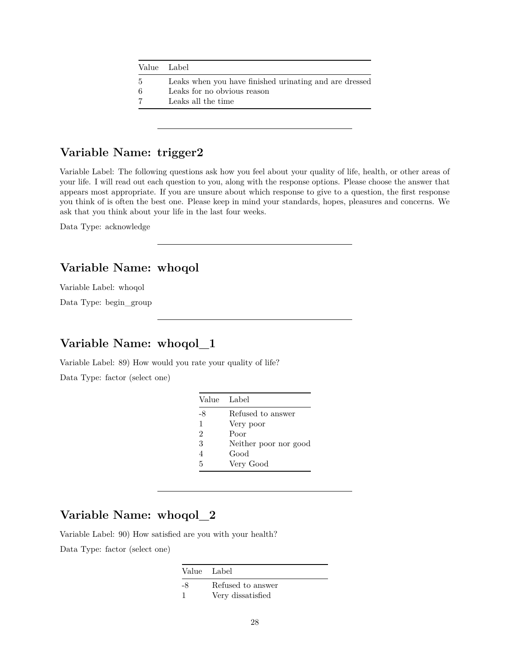|    | Value Label                                            |
|----|--------------------------------------------------------|
| 5. | Leaks when you have finished urinating and are dressed |
| 6  | Leaks for no obvious reason                            |
| 7  | Leaks all the time                                     |
|    |                                                        |

# **Variable Name: trigger2**

Variable Label: The following questions ask how you feel about your quality of life, health, or other areas of your life. I will read out each question to you, along with the response options. Please choose the answer that appears most appropriate. If you are unsure about which response to give to a question, the first response you think of is often the best one. Please keep in mind your standards, hopes, pleasures and concerns. We ask that you think about your life in the last four weeks.

Data Type: acknowledge

## **Variable Name: whoqol**

Variable Label: whoqol

Data Type: begin\_group

## **Variable Name: whoqol\_1**

Variable Label: 89) How would you rate your quality of life?

Data Type: factor (select one)

| Value Label    |                       |
|----------------|-----------------------|
| -8             | Refused to answer     |
| 1              | Very poor             |
| $\overline{2}$ | Poor                  |
| 3              | Neither poor nor good |
| $\overline{4}$ | Good                  |
| 5              | Very Good             |

# **Variable Name: whoqol\_2**

Variable Label: 90) How satisfied are you with your health? Data Type: factor (select one)

Value Label

-8 Refused to answer 1 Very dissatisfied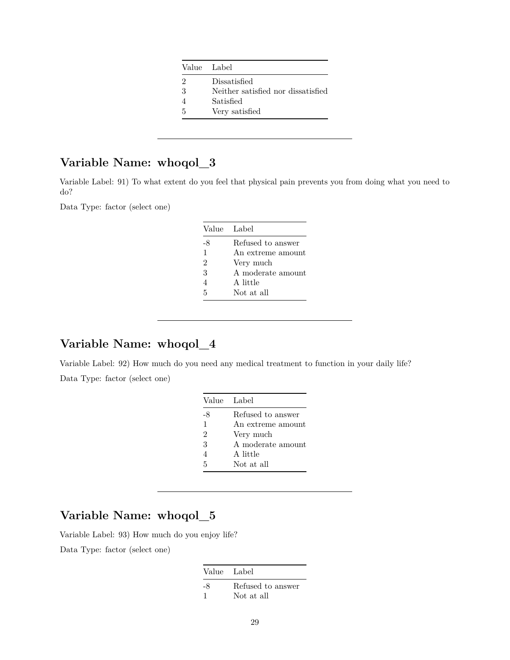|   | Value Label                        |
|---|------------------------------------|
| 2 | Dissatisfied                       |
| 3 | Neither satisfied nor dissatisfied |
|   | Satisfied                          |
| 5 | Very satisfied                     |
|   |                                    |

Variable Label: 91) To what extent do you feel that physical pain prevents you from doing what you need to do?

Data Type: factor (select one)

| Value Label    |                   |
|----------------|-------------------|
| -8             | Refused to answer |
| $\mathbf{1}$   | An extreme amount |
| $\mathfrak{D}$ | Very much         |
| 3              | A moderate amount |
| 4              | A little          |
| 5              | Not at all        |

### **Variable Name: whoqol\_4**

Variable Label: 92) How much do you need any medical treatment to function in your daily life? Data Type: factor (select one)

| Value Label       |
|-------------------|
| Refused to answer |
| An extreme amount |
| Very much         |
| A moderate amount |
| A little          |
| Not at all        |
|                   |

# **Variable Name: whoqol\_5**

Variable Label: 93) How much do you enjoy life?

| Value Label |                   |
|-------------|-------------------|
| -8          | Refused to answer |
| - 1         | Not at all        |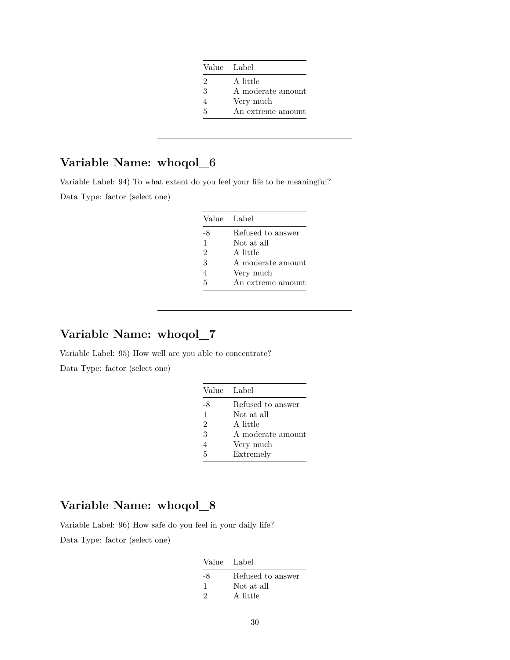| Value Label |                   |
|-------------|-------------------|
| 2           | A little          |
| 3           | A moderate amount |
|             | Very much         |
| 5           | An extreme amount |

Variable Label: 94) To what extent do you feel your life to be meaningful? Data Type: factor (select one)

| Value Label |                   |
|-------------|-------------------|
| -8          | Refused to answer |
| 1           | Not at all        |
| 2           | A little          |
| 3           | A moderate amount |
| 4           | Very much         |
| 5           | An extreme amount |

## **Variable Name: whoqol\_7**

Variable Label: 95) How well are you able to concentrate? Data Type: factor (select one)

| Value Label              |                   |
|--------------------------|-------------------|
| -8                       | Refused to answer |
| $\mathbf{1}$             | Not at all        |
| $\overline{2}$           | A little          |
| 3                        | A moderate amount |
| $\overline{\mathcal{A}}$ | Very much         |
| 5                        | Extremely         |

# **Variable Name: whoqol\_8**

Variable Label: 96) How safe do you feel in your daily life?

| Value Label |                   |
|-------------|-------------------|
| -8          | Refused to answer |
| -1          | Not at all        |
| 2           | A little          |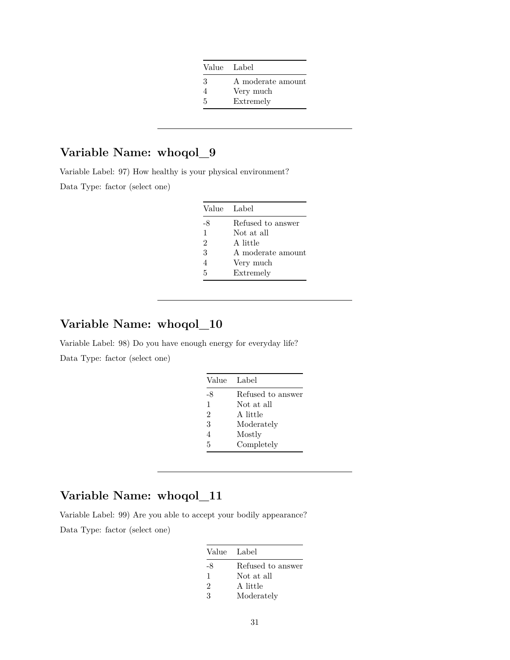| Value Label |                   |
|-------------|-------------------|
| З           | A moderate amount |
|             | Very much         |
| 5           | Extremely         |

Variable Label: 97) How healthy is your physical environment?

Data Type: factor (select one)

| Value Label    |                   |
|----------------|-------------------|
| -8             | Refused to answer |
| 1              | Not at all        |
| $\overline{2}$ | A little          |
| 3              | A moderate amount |
| $\overline{4}$ | Very much         |
| 5              | Extremely         |
|                |                   |

### **Variable Name: whoqol\_10**

Variable Label: 98) Do you have enough energy for everyday life? Data Type: factor (select one)

| Value Label |                   |
|-------------|-------------------|
| -8          | Refused to answer |
| 1           | Not at all        |
| 2           | A little          |
| 3           | Moderately        |
| 4           | Mostly            |
| 5           | Completely        |

# **Variable Name: whoqol\_11**

Variable Label: 99) Are you able to accept your bodily appearance?

| Value Label    |                   |
|----------------|-------------------|
| -8             | Refused to answer |
| 1              | Not at all        |
| $\mathfrak{D}$ | A little          |
| 3              | Moderately        |
|                |                   |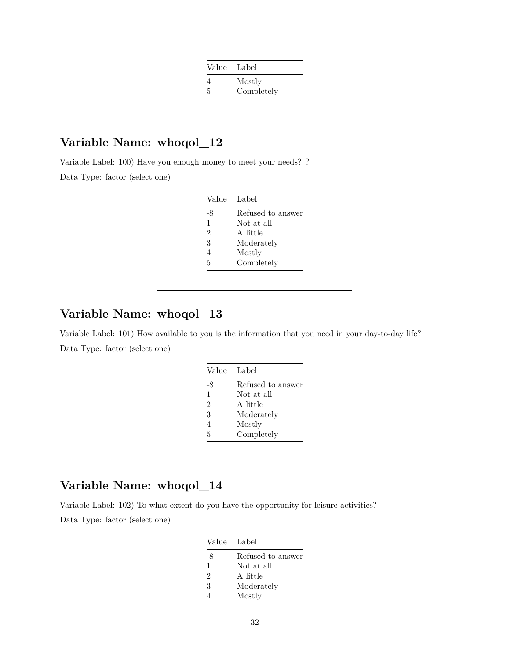| Value | Label      |
|-------|------------|
|       | Mostly     |
| 5     | Completely |

Variable Label: 100) Have you enough money to meet your needs? ? Data Type: factor (select one)

| Value          | Label             |
|----------------|-------------------|
| -8             | Refused to answer |
| 1              | Not at all        |
| $\overline{2}$ | A little          |
| 3              | Moderately        |
| $\overline{4}$ | Mostly            |
| 5              | Completely        |

# **Variable Name: whoqol\_13**

Variable Label: 101) How available to you is the information that you need in your day-to-day life? Data Type: factor (select one)

| Value          | Label             |
|----------------|-------------------|
| -8             | Refused to answer |
| $\mathbf{1}$   | Not at all        |
| $\overline{2}$ | A little          |
| 3              | Moderately        |
| $\overline{4}$ | Mostly            |
| 5              | Completely        |

## **Variable Name: whoqol\_14**

Variable Label: 102) To what extent do you have the opportunity for leisure activities? Data Type: factor (select one)

| Value Label    |                   |
|----------------|-------------------|
| -8             | Refused to answer |
| 1              | Not at all        |
| $\overline{2}$ | A little          |
| 3              | Moderately        |
|                | Mostly            |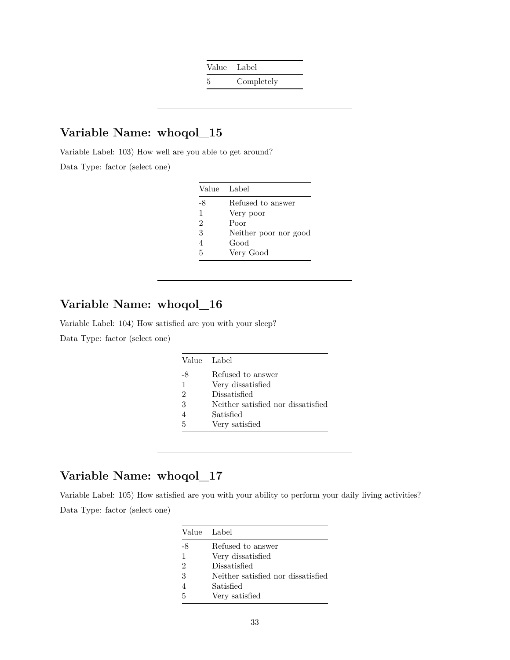Value Label 5 Completely

## **Variable Name: whoqol\_15**

Variable Label: 103) How well are you able to get around?

Data Type: factor (select one)

| Value Label    |                       |
|----------------|-----------------------|
| -8             | Refused to answer     |
| 1              | Very poor             |
| $\mathfrak{D}$ | Poor                  |
| 3              | Neither poor nor good |
| 4              | Good                  |
| 5              | Very Good             |

# **Variable Name: whoqol\_16**

Variable Label: 104) How satisfied are you with your sleep?

Data Type: factor (select one)

|    | Value Label                        |
|----|------------------------------------|
| -8 | Refused to answer                  |
| 1  | Very dissatisfied                  |
| 2  | Dissatisfied                       |
| 3  | Neither satisfied nor dissatisfied |
|    | Satisfied                          |
| 5  | Very satisfied                     |

# **Variable Name: whoqol\_17**

Variable Label: 105) How satisfied are you with your ability to perform your daily living activities? Data Type: factor (select one)

|                | Value Label                        |
|----------------|------------------------------------|
| -8             | Refused to answer                  |
| 1              | Very dissatisfied                  |
| $\mathfrak{D}$ | Dissatisfied                       |
| 3              | Neither satisfied nor dissatisfied |
|                | Satisfied                          |
| 5              | Very satisfied                     |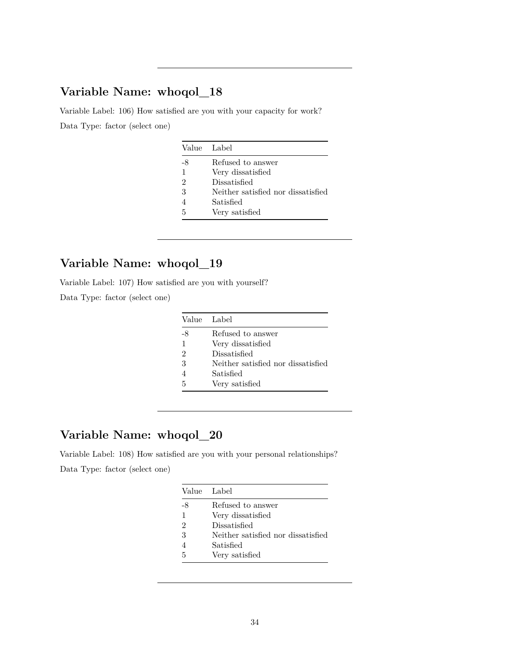Variable Label: 106) How satisfied are you with your capacity for work? Data Type: factor (select one)

|                | Value Label                        |
|----------------|------------------------------------|
| -8             | Refused to answer                  |
| 1              | Very dissatisfied                  |
| $\mathfrak{D}$ | Dissatisfied                       |
| 3              | Neither satisfied nor dissatisfied |
| 4              | Satisfied                          |
| 5              | Very satisfied                     |

# **Variable Name: whoqol\_19**

Variable Label: 107) How satisfied are you with yourself?

Data Type: factor (select one)

| Value Label |                                    |
|-------------|------------------------------------|
| -8          | Refused to answer                  |
| 1           | Very dissatisfied                  |
| 2           | Dissatisfied                       |
| 3           | Neither satisfied nor dissatisfied |
|             | Satisfied                          |
| 5           | Very satisfied                     |

# **Variable Name: whoqol\_20**

Variable Label: 108) How satisfied are you with your personal relationships? Data Type: factor (select one)

|               | Value Label                        |
|---------------|------------------------------------|
| -8            | Refused to answer                  |
| 1             | Very dissatisfied                  |
| $\mathcal{D}$ | Dissatisfied                       |
| 3             | Neither satisfied nor dissatisfied |
| 4             | Satisfied                          |
| 5             | Very satisfied                     |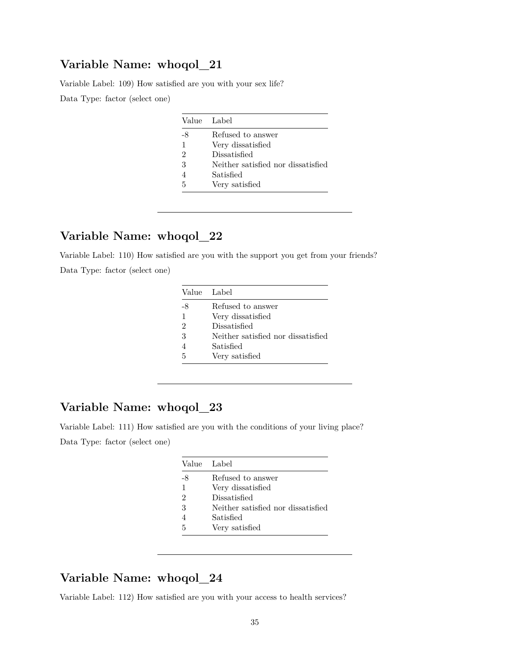Variable Label: 109) How satisfied are you with your sex life?

Data Type: factor (select one)

|               | Value Label                        |
|---------------|------------------------------------|
| -8            | Refused to answer                  |
| 1             | Very dissatisfied                  |
| $\mathcal{D}$ | Dissatisfied                       |
| 3             | Neither satisfied nor dissatisfied |
| 4             | Satisfied                          |
| 5             | Very satisfied                     |

## **Variable Name: whoqol\_22**

Variable Label: 110) How satisfied are you with the support you get from your friends? Data Type: factor (select one)

|    | Value Label                        |
|----|------------------------------------|
| -8 | Refused to answer                  |
| 1  | Very dissatisfied                  |
| 2  | Dissatisfied                       |
| 3  | Neither satisfied nor dissatisfied |
|    | Satisfied                          |
| 5  | Very satisfied                     |

### **Variable Name: whoqol\_23**

Variable Label: 111) How satisfied are you with the conditions of your living place? Data Type: factor (select one)

|    | Value Label                        |
|----|------------------------------------|
| -8 | Refused to answer                  |
| 1  | Very dissatisfied                  |
| 2  | Dissatisfied                       |
| 3  | Neither satisfied nor dissatisfied |
| 4  | Satisfied                          |
| 5  | Very satisfied                     |

## **Variable Name: whoqol\_24**

Variable Label: 112) How satisfied are you with your access to health services?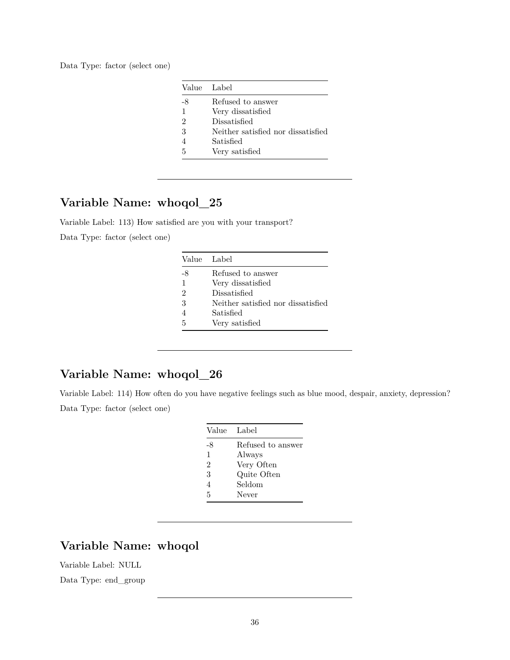Data Type: factor (select one)

| Value | - Label                            |
|-------|------------------------------------|
| -8    | Refused to answer                  |
| 1     | Very dissatisfied                  |
| 2     | Dissatisfied                       |
| 3     | Neither satisfied nor dissatisfied |
| 4     | Satisfied                          |
| 5     | Very satisfied                     |

# **Variable Name: whoqol\_25**

Variable Label: 113) How satisfied are you with your transport? Data Type: factor (select one)

| Value Label                        |
|------------------------------------|
| Refused to answer                  |
| Very dissatisfied                  |
| Dissatisfied                       |
| Neither satisfied nor dissatisfied |
| Satisfied                          |
| Very satisfied                     |
|                                    |

## **Variable Name: whoqol\_26**

Variable Label: 114) How often do you have negative feelings such as blue mood, despair, anxiety, depression? Data Type: factor (select one)

| Value | Label             |
|-------|-------------------|
| -8    | Refused to answer |
| 1     | Always            |
| 2     | Very Often        |
| 3     | Quite Often       |
| 4     | Seldom            |
| 5     | Never             |

# **Variable Name: whoqol**

Variable Label: NULL

Data Type: end\_group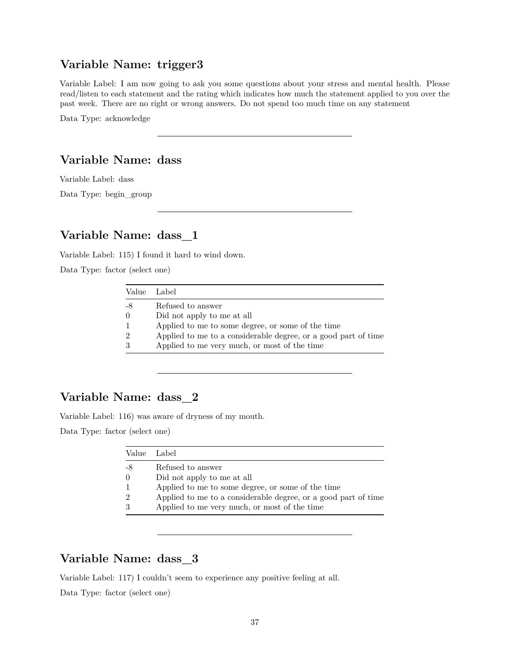### **Variable Name: trigger3**

Variable Label: I am now going to ask you some questions about your stress and mental health. Please read/listen to each statement and the rating which indicates how much the statement applied to you over the past week. There are no right or wrong answers. Do not spend too much time on any statement

Data Type: acknowledge

### **Variable Name: dass**

Variable Label: dass Data Type: begin\_group

## **Variable Name: dass\_1**

Variable Label: 115) I found it hard to wind down.

Data Type: factor (select one)

| Value Label   |                                                                |
|---------------|----------------------------------------------------------------|
| -8            | Refused to answer                                              |
| $\Omega$      | Did not apply to me at all                                     |
|               | Applied to me to some degree, or some of the time              |
| $\mathcal{D}$ | Applied to me to a considerable degree, or a good part of time |
| 3             | Applied to me very much, or most of the time                   |

## **Variable Name: dass\_2**

Variable Label: 116) was aware of dryness of my mouth.

Data Type: factor (select one)

| Value          | Label                                                          |
|----------------|----------------------------------------------------------------|
| -8             | Refused to answer                                              |
| $\Omega$       | Did not apply to me at all                                     |
| $\mathbf{1}$   | Applied to me to some degree, or some of the time              |
| $\overline{2}$ | Applied to me to a considerable degree, or a good part of time |
| 3              | Applied to me very much, or most of the time                   |

## **Variable Name: dass\_3**

Variable Label: 117) I couldn't seem to experience any positive feeling at all.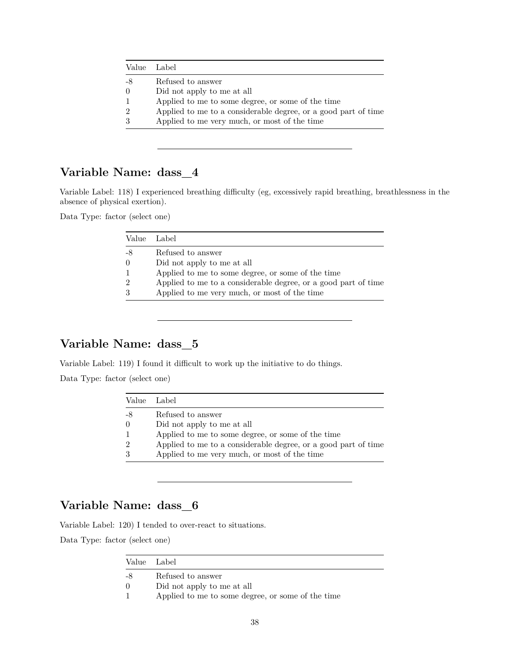|                | Value Label                                                    |
|----------------|----------------------------------------------------------------|
| -8             | Refused to answer                                              |
| $\left($       | Did not apply to me at all                                     |
| $\mathbf{1}$   | Applied to me to some degree, or some of the time              |
| $\overline{2}$ | Applied to me to a considerable degree, or a good part of time |
| 3              | Applied to me very much, or most of the time                   |
|                |                                                                |

Variable Label: 118) I experienced breathing difficulty (eg, excessively rapid breathing, breathlessness in the absence of physical exertion).

Data Type: factor (select one)

| Value Label |                                                                |
|-------------|----------------------------------------------------------------|
| -8          | Refused to answer                                              |
|             | Did not apply to me at all                                     |
|             | Applied to me to some degree, or some of the time              |
|             | Applied to me to a considerable degree, or a good part of time |
|             | Applied to me very much, or most of the time                   |

### **Variable Name: dass\_5**

Variable Label: 119) I found it difficult to work up the initiative to do things.

Data Type: factor (select one)

| Value          | Label                                                          |
|----------------|----------------------------------------------------------------|
| -8             | Refused to answer                                              |
| $\Omega$       | Did not apply to me at all                                     |
| $\mathbf{1}$   | Applied to me to some degree, or some of the time              |
| $\overline{2}$ | Applied to me to a considerable degree, or a good part of time |
| 3              | Applied to me very much, or most of the time                   |

# **Variable Name: dass\_6**

Variable Label: 120) I tended to over-react to situations.

|          | Value Label                                       |
|----------|---------------------------------------------------|
| -8       | Refused to answer                                 |
| $\Omega$ | Did not apply to me at all                        |
|          | Applied to me to some degree, or some of the time |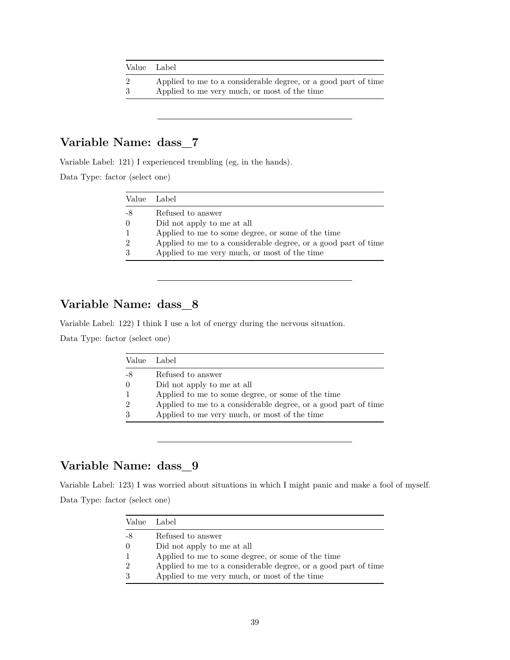| Value Label    |                                                                |
|----------------|----------------------------------------------------------------|
| $\overline{2}$ | Applied to me to a considerable degree, or a good part of time |
| 3              | Applied to me very much, or most of the time                   |

Variable Label: 121) I experienced trembling (eg, in the hands).

Data Type: factor (select one)

| Value Label    |                                                                |
|----------------|----------------------------------------------------------------|
| -8             | Refused to answer                                              |
| $\theta$       | Did not apply to me at all                                     |
| $\overline{1}$ | Applied to me to some degree, or some of the time              |
| $\overline{2}$ | Applied to me to a considerable degree, or a good part of time |
| 3              | Applied to me very much, or most of the time                   |

## **Variable Name: dass\_8**

Variable Label: 122) I think I use a lot of energy during the nervous situation.

Data Type: factor (select one)

|                | Value Label                                                    |
|----------------|----------------------------------------------------------------|
| -8             | Refused to answer                                              |
| $\Omega$       | Did not apply to me at all                                     |
| $\mathbf{1}$   | Applied to me to some degree, or some of the time              |
| $\overline{2}$ | Applied to me to a considerable degree, or a good part of time |
| 3              | Applied to me very much, or most of the time                   |

# **Variable Name: dass\_9**

Variable Label: 123) I was worried about situations in which I might panic and make a fool of myself. Data Type: factor (select one)

|    | Value Label                                                    |
|----|----------------------------------------------------------------|
| -8 | Refused to answer                                              |
|    | Did not apply to me at all                                     |
|    | Applied to me to some degree, or some of the time              |
|    | Applied to me to a considerable degree, or a good part of time |
|    | Applied to me very much, or most of the time                   |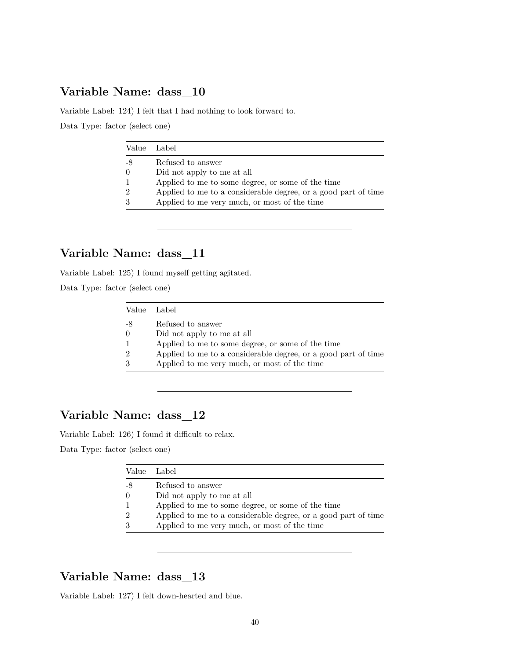Variable Label: 124) I felt that I had nothing to look forward to.

Data Type: factor (select one)

|                | Value Label                                                    |
|----------------|----------------------------------------------------------------|
| -8             | Refused to answer                                              |
| $\theta$       | Did not apply to me at all                                     |
| $\mathbf{1}$   | Applied to me to some degree, or some of the time              |
| $\overline{2}$ | Applied to me to a considerable degree, or a good part of time |
| 3              | Applied to me very much, or most of the time                   |
|                |                                                                |

## **Variable Name: dass\_11**

Variable Label: 125) I found myself getting agitated.

Data Type: factor (select one)

|                | Value Label                                                    |
|----------------|----------------------------------------------------------------|
| -8             | Refused to answer                                              |
| $\Omega$       | Did not apply to me at all                                     |
| $\mathbf{1}$   | Applied to me to some degree, or some of the time              |
| $\overline{2}$ | Applied to me to a considerable degree, or a good part of time |
| 3              | Applied to me very much, or most of the time                   |

## **Variable Name: dass\_12**

Variable Label: 126) I found it difficult to relax.

Data Type: factor (select one)

|                  | Value Label                                                    |
|------------------|----------------------------------------------------------------|
|                  | Refused to answer                                              |
| $\left( \right)$ | Did not apply to me at all                                     |
|                  | Applied to me to some degree, or some of the time              |
|                  | Applied to me to a considerable degree, or a good part of time |
|                  | Applied to me very much, or most of the time                   |

## **Variable Name: dass\_13**

Variable Label: 127) I felt down-hearted and blue.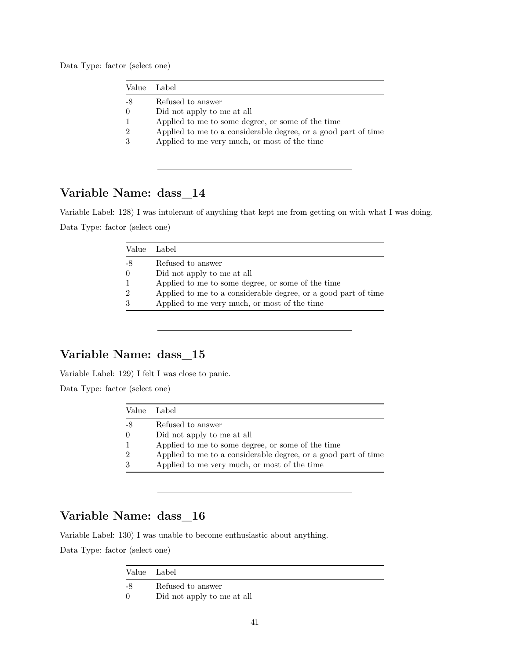Data Type: factor (select one)

| Value Label                                                    |
|----------------------------------------------------------------|
| Refused to answer                                              |
| Did not apply to me at all                                     |
| Applied to me to some degree, or some of the time              |
| Applied to me to a considerable degree, or a good part of time |
| Applied to me very much, or most of the time                   |
|                                                                |

## **Variable Name: dass\_14**

Variable Label: 128) I was intolerant of anything that kept me from getting on with what I was doing. Data Type: factor (select one)

|                | Value Label                                                    |
|----------------|----------------------------------------------------------------|
| -8             | Refused to answer                                              |
| $\Omega$       | Did not apply to me at all                                     |
| $\mathbf{1}$   | Applied to me to some degree, or some of the time              |
| $\overline{2}$ | Applied to me to a considerable degree, or a good part of time |
| 3              | Applied to me very much, or most of the time                   |
|                |                                                                |

# **Variable Name: dass\_15**

Variable Label: 129) I felt I was close to panic.

Data Type: factor (select one)

| Value         | Label                                                          |
|---------------|----------------------------------------------------------------|
| -8            | Refused to answer                                              |
| $\theta$      | Did not apply to me at all                                     |
|               | Applied to me to some degree, or some of the time              |
| $\mathcal{D}$ | Applied to me to a considerable degree, or a good part of time |
| 3             | Applied to me very much, or most of the time                   |

## **Variable Name: dass\_16**

Variable Label: 130) I was unable to become enthusiastic about anything.

|    | Value Label                |  |
|----|----------------------------|--|
| -8 | Refused to answer          |  |
| 0  | Did not apply to me at all |  |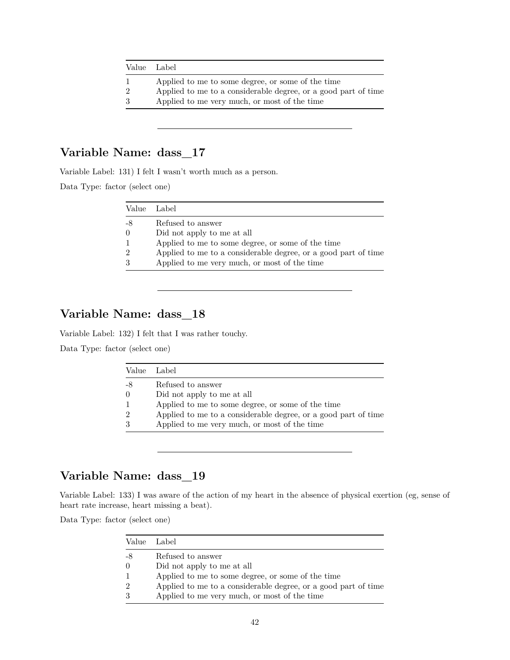| Value Label    |                                                                |
|----------------|----------------------------------------------------------------|
|                | Applied to me to some degree, or some of the time              |
| $\overline{2}$ | Applied to me to a considerable degree, or a good part of time |
| -3             | Applied to me very much, or most of the time                   |

Variable Label: 131) I felt I wasn't worth much as a person.

Data Type: factor (select one)

| Value Label    |                                                                |
|----------------|----------------------------------------------------------------|
| -8             | Refused to answer                                              |
| $\theta$       | Did not apply to me at all                                     |
| $\overline{1}$ | Applied to me to some degree, or some of the time              |
| $\mathcal{D}$  | Applied to me to a considerable degree, or a good part of time |
| 3              | Applied to me very much, or most of the time                   |

# **Variable Name: dass\_18**

Variable Label: 132) I felt that I was rather touchy.

Data Type: factor (select one)

| Value Label                                                    |
|----------------------------------------------------------------|
| Refused to answer                                              |
| Did not apply to me at all                                     |
| Applied to me to some degree, or some of the time              |
| Applied to me to a considerable degree, or a good part of time |
| Applied to me very much, or most of the time                   |
|                                                                |

## **Variable Name: dass\_19**

Variable Label: 133) I was aware of the action of my heart in the absence of physical exertion (eg, sense of heart rate increase, heart missing a beat).

| Value Label   |                                                                |
|---------------|----------------------------------------------------------------|
| -8            | Refused to answer                                              |
| $\theta$      | Did not apply to me at all                                     |
|               | Applied to me to some degree, or some of the time              |
| $\mathcal{D}$ | Applied to me to a considerable degree, or a good part of time |
| -3            | Applied to me very much, or most of the time                   |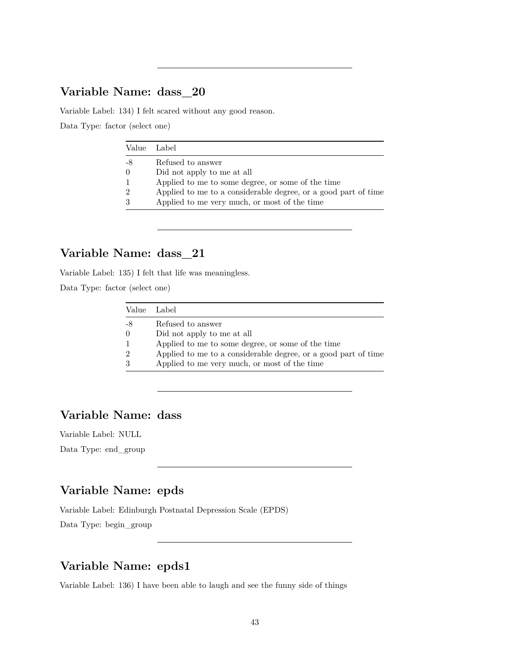Variable Label: 134) I felt scared without any good reason.

Data Type: factor (select one)

|                | Value Label                                                    |
|----------------|----------------------------------------------------------------|
| -8             | Refused to answer                                              |
| $\theta$       | Did not apply to me at all                                     |
| $\overline{1}$ | Applied to me to some degree, or some of the time              |
| $\mathcal{D}$  | Applied to me to a considerable degree, or a good part of time |
| 3              | Applied to me very much, or most of the time                   |
|                |                                                                |

### **Variable Name: dass\_21**

Variable Label: 135) I felt that life was meaningless.

Data Type: factor (select one)

| Value Label    |                                                                |
|----------------|----------------------------------------------------------------|
| -8             | Refused to answer                                              |
| $\theta$       | Did not apply to me at all                                     |
| $\overline{1}$ | Applied to me to some degree, or some of the time              |
| $\overline{2}$ | Applied to me to a considerable degree, or a good part of time |
| 3              | Applied to me very much, or most of the time                   |

## **Variable Name: dass**

Variable Label: NULL Data Type: end\_group

### **Variable Name: epds**

Variable Label: Edinburgh Postnatal Depression Scale (EPDS)

Data Type: begin\_group

## **Variable Name: epds1**

Variable Label: 136) I have been able to laugh and see the funny side of things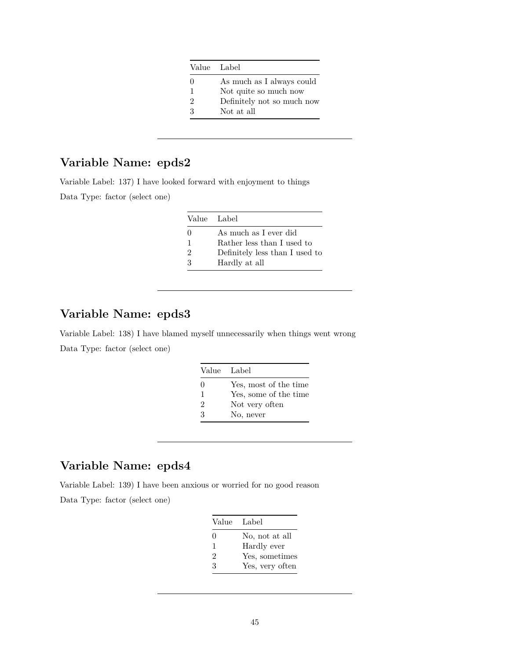|              | Value Label                |
|--------------|----------------------------|
| $\mathbf{0}$ | As much as I always could  |
|              | Not quite so much now      |
| 2            | Definitely not so much now |
| 3            | Not at all                 |

# **Variable Name: epds2**

Variable Label: 137) I have looked forward with enjoyment to things

Data Type: factor (select one)

|                | Value Label                    |
|----------------|--------------------------------|
| $\mathbf{0}$   | As much as I ever did          |
| 1              | Rather less than I used to     |
| $\mathfrak{D}$ | Definitely less than I used to |
| 3              | Hardly at all                  |

# **Variable Name: epds3**

Variable Label: 138) I have blamed myself unnecessarily when things went wrong Data Type: factor (select one)

| Value Label    |                       |
|----------------|-----------------------|
| $\Omega$       | Yes, most of the time |
| 1              | Yes, some of the time |
| $\mathfrak{D}$ | Not very often        |
| $\mathcal{R}$  | No, never             |

## **Variable Name: epds4**

Variable Label: 139) I have been anxious or worried for no good reason

| Value Label |                 |
|-------------|-----------------|
| $\Omega$    | No, not at all  |
| 1           | Hardly ever     |
| 2           | Yes, sometimes  |
| 3           | Yes, very often |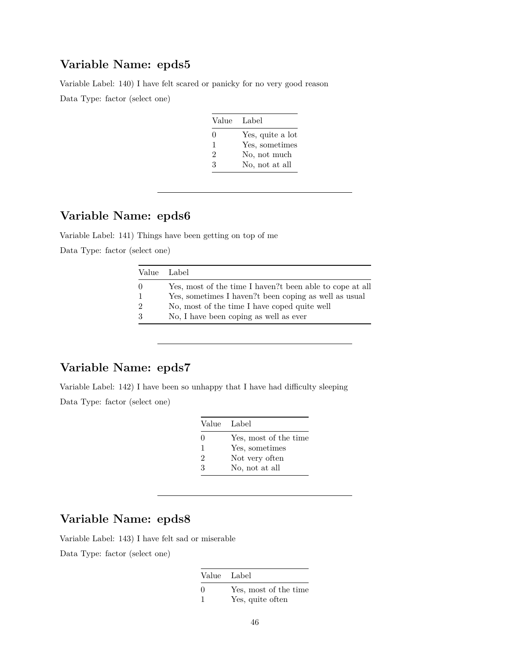### **Variable Name: epds5**

Variable Label: 140) I have felt scared or panicky for no very good reason

Data Type: factor (select one)

| Value Label    |                  |
|----------------|------------------|
| $\Omega$       | Yes, quite a lot |
| 1.             | Yes, sometimes   |
| $\overline{2}$ | No, not much     |
| 3              | No, not at all   |

## **Variable Name: epds6**

Variable Label: 141) Things have been getting on top of me

Data Type: factor (select one)

|                             | Value Label                                              |
|-----------------------------|----------------------------------------------------------|
| $\Omega$                    | Yes, most of the time I haven?t been able to cope at all |
|                             | Yes, sometimes I haven?t been coping as well as usual    |
| $\mathcal{D}_{\mathcal{L}}$ | No, most of the time I have coped quite well             |
| 3                           | No, I have been coping as well as ever                   |

## **Variable Name: epds7**

Variable Label: 142) I have been so unhappy that I have had difficulty sleeping Data Type: factor (select one)

| Value Label |                       |
|-------------|-----------------------|
| $\Omega$    | Yes, most of the time |
| 1           | Yes, sometimes        |
| 2           | Not very often        |
| 3           | No, not at all        |

## **Variable Name: epds8**

Variable Label: 143) I have felt sad or miserable

| Value Label |                                           |
|-------------|-------------------------------------------|
| $\Omega$    | Yes, most of the time<br>Yes, quite often |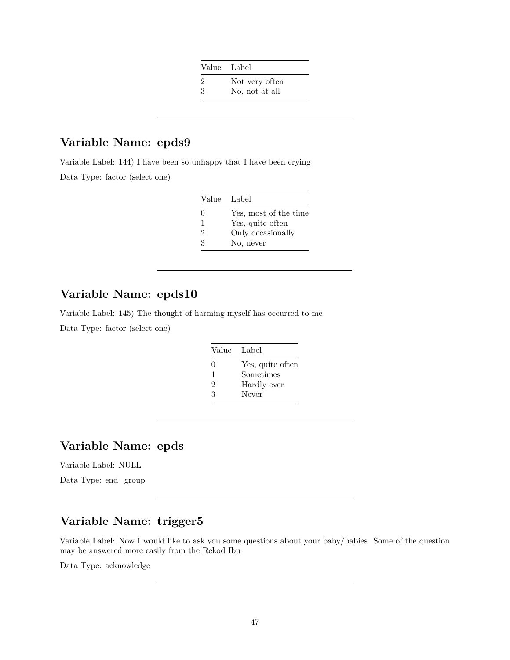| Value Label |                |
|-------------|----------------|
| 2           | Not very often |
| 3           | No, not at all |

### **Variable Name: epds9**

Variable Label: 144) I have been so unhappy that I have been crying Data Type: factor (select one)

| Value             | Label                 |
|-------------------|-----------------------|
| $\mathbf{\Omega}$ | Yes, most of the time |
| 1                 | Yes, quite often      |
| $\mathfrak{D}$    | Only occasionally     |
| З                 | No, never             |

## **Variable Name: epds10**

Variable Label: 145) The thought of harming myself has occurred to me Data Type: factor (select one)

|   | Value Label      |
|---|------------------|
| 0 | Yes, quite often |
| 1 | Sometimes        |
| 2 | Hardly ever      |
| 3 | Never            |

## **Variable Name: epds**

Variable Label: NULL

Data Type: end\_group

# **Variable Name: trigger5**

Variable Label: Now I would like to ask you some questions about your baby/babies. Some of the question may be answered more easily from the Rekod Ibu

Data Type: acknowledge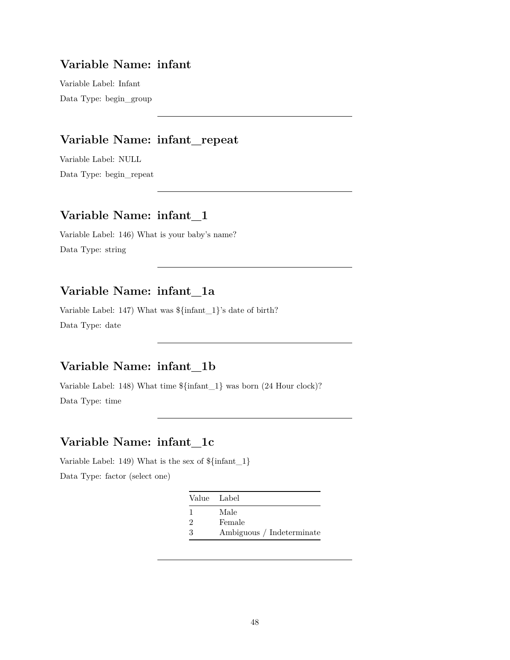### **Variable Name: infant**

Variable Label: Infant Data Type: begin\_group

## **Variable Name: infant\_repeat**

Variable Label: NULL Data Type: begin\_repeat

## **Variable Name: infant\_1**

Variable Label: 146) What is your baby's name? Data Type: string

## **Variable Name: infant\_1a**

Variable Label: 147) What was \${infant\_1}'s date of birth? Data Type: date

### **Variable Name: infant\_1b**

Variable Label: 148) What time \${infant\_1} was born (24 Hour clock)? Data Type: time

## **Variable Name: infant\_1c**

Variable Label: 149) What is the sex of \${infant\_1}

|                             | Value Label               |
|-----------------------------|---------------------------|
|                             | Male                      |
| $\mathcal{D}_{\mathcal{L}}$ | Female                    |
| З                           | Ambiguous / Indeterminate |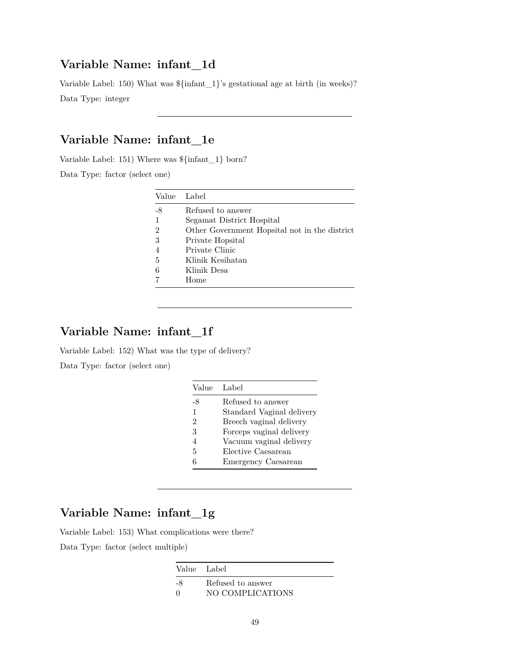### **Variable Name: infant\_1d**

Variable Label: 150) What was \${infant\_1}'s gestational age at birth (in weeks)? Data Type: integer

## **Variable Name: infant\_1e**

Variable Label: 151) Where was \${infant\_1} born?

Data Type: factor (select one)

| Label                                         |
|-----------------------------------------------|
| Refused to answer                             |
| Segamat District Hospital                     |
| Other Government Hopsital not in the district |
| Private Hopsital                              |
| Private Clinic                                |
| Klinik Kesihatan                              |
| Klinik Desa                                   |
| Home                                          |
|                                               |

# **Variable Name: infant\_1f**

Variable Label: 152) What was the type of delivery?

Data Type: factor (select one)

| Value        | Label                     |
|--------------|---------------------------|
| -8           | Refused to answer         |
| $\mathbf{1}$ | Standard Vaginal delivery |
| 2            | Breech vaginal delivery   |
| 3            | Forceps vaginal delivery  |
| 4            | Vacuum vaginal delivery   |
| 5            | Elective Caesarean        |
| 6            | Emergency Caesarean       |

### **Variable Name: infant\_1g**

Variable Label: 153) What complications were there?

Data Type: factor (select multiple)

|            | Value Label       |
|------------|-------------------|
| -8         | Refused to answer |
| $^{\circ}$ | NO COMPLICATIONS  |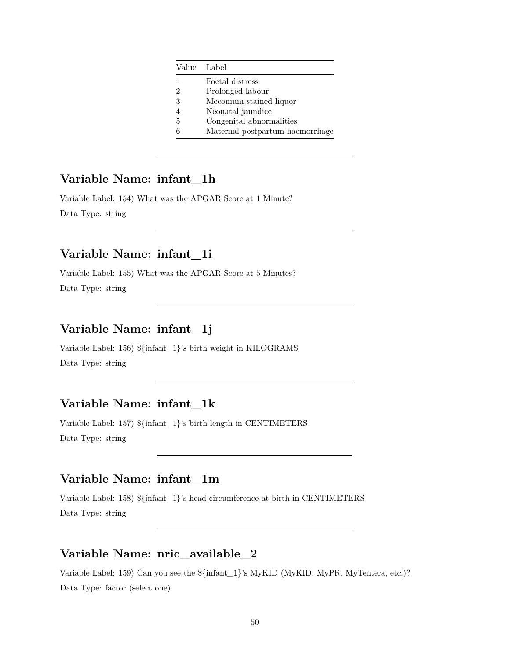| Value Label |                                 |
|-------------|---------------------------------|
| 1           | Foetal distress                 |
| 2           | Prolonged labour                |
| 3           | Meconium stained liquor         |
|             | Neonatal jaundice               |
| 5           | Congenital abnormalities        |
| հ           | Maternal postpartum haemorrhage |

## **Variable Name: infant\_1h**

Variable Label: 154) What was the APGAR Score at 1 Minute? Data Type: string

### **Variable Name: infant\_1i**

Variable Label: 155) What was the APGAR Score at 5 Minutes? Data Type: string

## **Variable Name: infant\_1j**

Variable Label: 156) \${infant\_1}'s birth weight in KILOGRAMS Data Type: string

## **Variable Name: infant\_1k**

Variable Label: 157) \${infant\_1}'s birth length in CENTIMETERS Data Type: string

## **Variable Name: infant\_1m**

Variable Label: 158) \${infant\_1}'s head circumference at birth in CENTIMETERS Data Type: string

### **Variable Name: nric\_available\_2**

Variable Label: 159) Can you see the \${infant\_1}'s MyKID (MyKID, MyPR, MyTentera, etc.)? Data Type: factor (select one)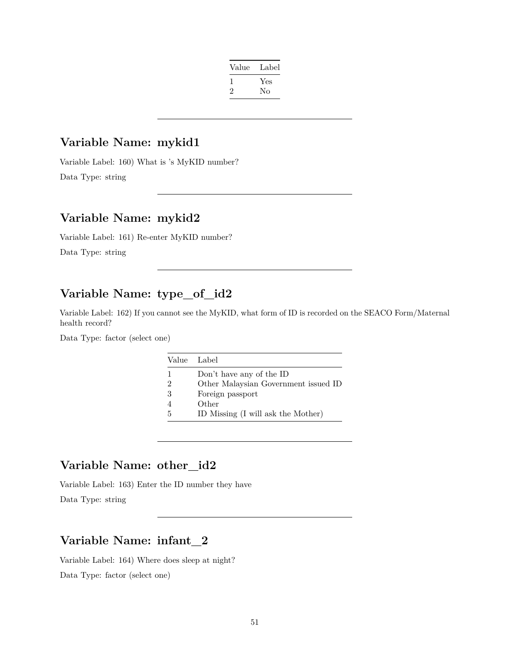| Label |
|-------|
| Yes   |
| No    |
|       |

### **Variable Name: mykid1**

Variable Label: 160) What is 's MyKID number? Data Type: string

### **Variable Name: mykid2**

Variable Label: 161) Re-enter MyKID number?

Data Type: string

## **Variable Name: type\_of\_id2**

Variable Label: 162) If you cannot see the MyKID, what form of ID is recorded on the SEACO Form/Maternal health record?

Data Type: factor (select one)

|               | Value Label                          |
|---------------|--------------------------------------|
| 1             | Don't have any of the ID             |
| $\mathcal{D}$ | Other Malaysian Government issued ID |
| 3             | Foreign passport                     |
|               | Other                                |
| 5             | ID Missing (I will ask the Mother)   |

## **Variable Name: other\_id2**

Variable Label: 163) Enter the ID number they have

Data Type: string

## **Variable Name: infant\_2**

Variable Label: 164) Where does sleep at night? Data Type: factor (select one)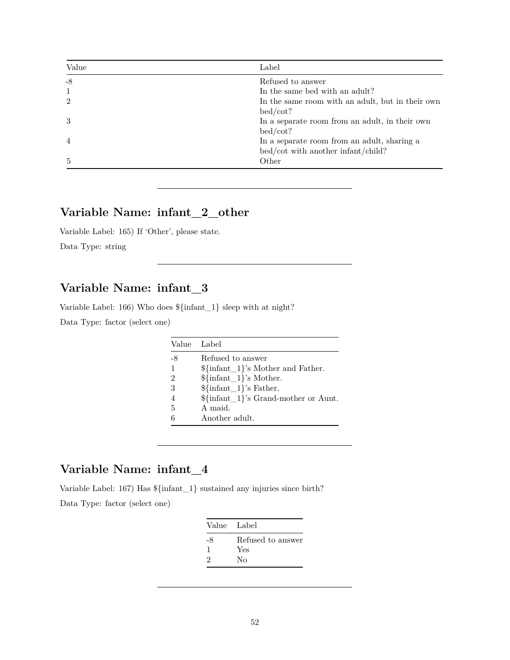| Value          | Label                                                                             |
|----------------|-----------------------------------------------------------------------------------|
| $-8$           | Refused to answer                                                                 |
| 1              | In the same bed with an adult?                                                    |
| $\mathfrak{D}$ | In the same room with an adult, but in their own<br>bed/cot?                      |
| $\mathcal{S}$  | In a separate room from an adult, in their own<br>bed/cot?                        |
| 4              | In a separate room from an adult, sharing a<br>bed/cot with another infant/child? |
| 5              | Other                                                                             |

# **Variable Name: infant\_2\_other**

Variable Label: 165) If 'Other', please state. Data Type: string

## **Variable Name: infant\_3**

Variable Label: 166) Who does \${infant\_1} sleep with at night?

Data Type: factor (select one)

|      | Value Label                           |
|------|---------------------------------------|
| $-8$ | Refused to answer                     |
| 1    | $\{\infty\}$ 's Mother and Father.    |
| 2    | ${\sin\{\text{ant}\_1\}}$ 's Mother.  |
| 3    | ${\sf finfant}_1$ 's Father.          |
| 4    | $\{\infty\}$ 's Grand-mother or Aunt. |
| 5    | A maid.                               |
| 6    | Another adult.                        |

# **Variable Name: infant\_4**

Variable Label: 167) Has \${infant\_1} sustained any injuries since birth?

| Value Label       |
|-------------------|
| Refused to answer |
| Yes               |
| No                |
|                   |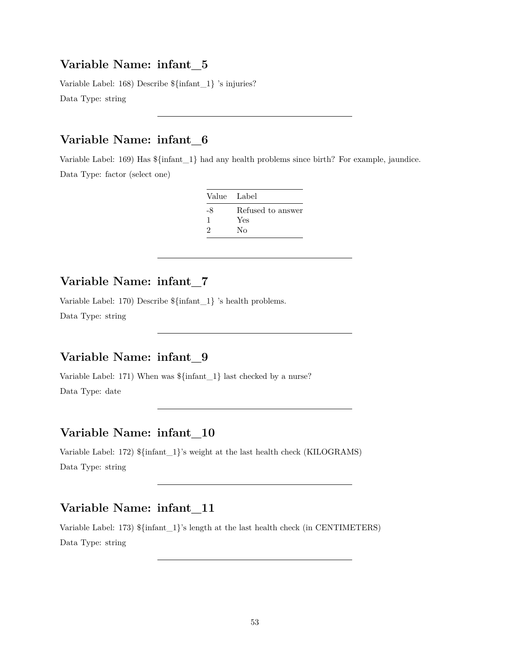#### **Variable Name: infant\_5**

Variable Label: 168) Describe \${infant\_1} 's injuries? Data Type: string

### **Variable Name: infant\_6**

Variable Label: 169) Has \${infant\_1} had any health problems since birth? For example, jaundice. Data Type: factor (select one)

| Value Label |                   |
|-------------|-------------------|
| -8          | Refused to answer |
| 1           | Yes               |
| 2           | Nο                |

### **Variable Name: infant\_7**

Variable Label: 170) Describe \${infant\_1} 's health problems. Data Type: string

### **Variable Name: infant\_9**

Variable Label: 171) When was \${infant\_1} last checked by a nurse? Data Type: date

## **Variable Name: infant\_10**

Variable Label: 172) \${infant\_1}'s weight at the last health check (KILOGRAMS) Data Type: string

### **Variable Name: infant\_11**

Variable Label: 173) \${infant\_1}'s length at the last health check (in CENTIMETERS) Data Type: string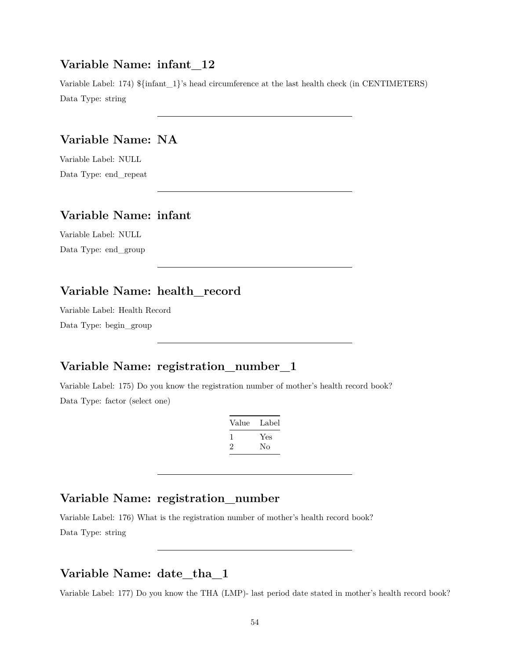#### **Variable Name: infant\_12**

Variable Label: 174)  $\{in1\}$ 's head circumference at the last health check (in CENTIMETERS) Data Type: string

### **Variable Name: NA**

Variable Label: NULL Data Type: end\_repeat

## **Variable Name: infant**

Variable Label: NULL Data Type: end\_group

## **Variable Name: health\_record**

Variable Label: Health Record Data Type: begin\_group

# **Variable Name: registration\_number\_1**

Variable Label: 175) Do you know the registration number of mother's health record book? Data Type: factor (select one)

| Value        | Label |
|--------------|-------|
| $\mathbf{I}$ | Yes   |
| '2           | Nο    |

### **Variable Name: registration\_number**

Variable Label: 176) What is the registration number of mother's health record book? Data Type: string

## **Variable Name: date\_tha\_1**

Variable Label: 177) Do you know the THA (LMP)- last period date stated in mother's health record book?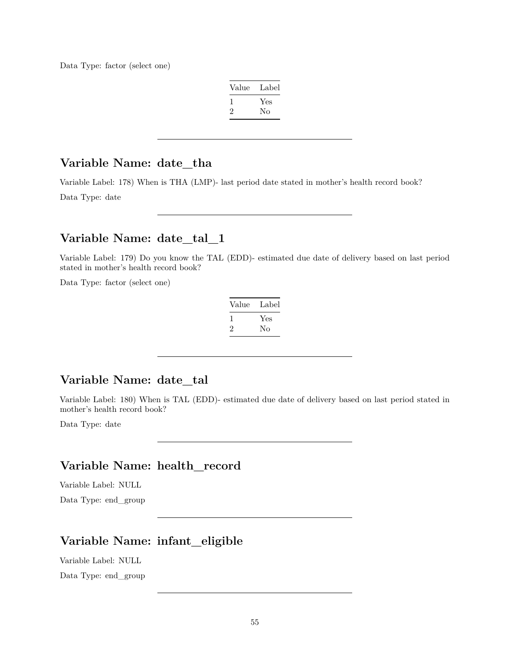Data Type: factor (select one)

| Value | Label |
|-------|-------|
|       | Yes   |
| ۰,    | Nο    |

#### **Variable Name: date\_tha**

Variable Label: 178) When is THA (LMP)- last period date stated in mother's health record book? Data Type: date

### **Variable Name: date\_tal\_1**

Variable Label: 179) Do you know the TAL (EDD)- estimated due date of delivery based on last period stated in mother's health record book?

Data Type: factor (select one)

| Value        | Label |
|--------------|-------|
| $\mathbf{I}$ | Yes   |
| 2            | No    |

### **Variable Name: date\_tal**

Variable Label: 180) When is TAL (EDD)- estimated due date of delivery based on last period stated in mother's health record book?

Data Type: date

## **Variable Name: health\_record**

Variable Label: NULL

Data Type: end\_group

# **Variable Name: infant\_eligible**

Variable Label: NULL

Data Type: end\_group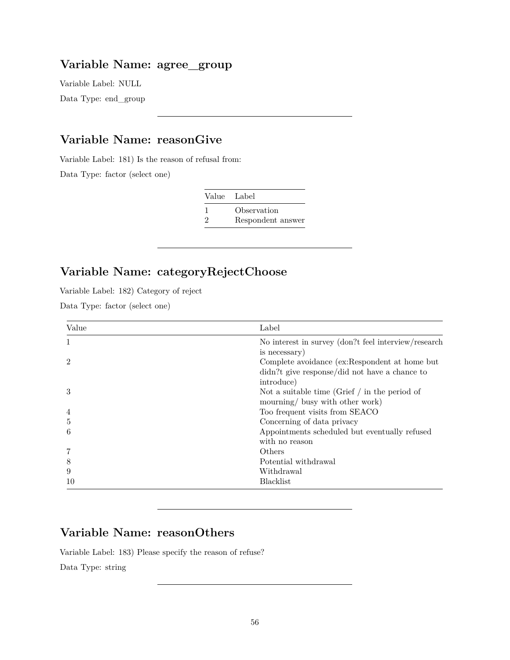### **Variable Name: agree\_group**

Variable Label: NULL Data Type: end\_group

### **Variable Name: reasonGive**

Variable Label: 181) Is the reason of refusal from:

Data Type: factor (select one)

|    | Value Label       |
|----|-------------------|
|    | Observation       |
| ') | Respondent answer |

# **Variable Name: categoryRejectChoose**

Variable Label: 182) Category of reject

Data Type: factor (select one)

| Value          | Label                                                 |
|----------------|-------------------------------------------------------|
| 1              | No interest in survey (don?t feel interview/research) |
|                | is necessary)                                         |
| $\overline{2}$ | Complete avoidance (ex:Respondent at home but         |
|                | didn?t give response/did not have a chance to         |
|                | introduce)                                            |
| 3              | Not a suitable time (Grief $\int$ in the period of    |
|                | mourning/ busy with other work)                       |
| $\overline{4}$ | Too frequent visits from SEACO                        |
| 5              | Concerning of data privacy                            |
| 6              | Appointments scheduled but eventually refused         |
|                | with no reason                                        |
|                | Others                                                |
| 8              | Potential withdrawal                                  |
| 9              | Withdrawal                                            |
| 10             | <b>Blacklist</b>                                      |

# **Variable Name: reasonOthers**

Variable Label: 183) Please specify the reason of refuse? Data Type: string